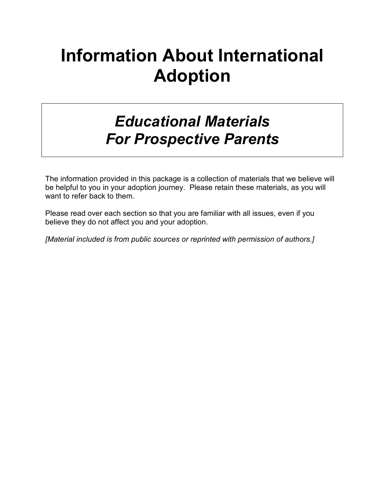# Information About International Adoption

## *Educational Materials For Prospective Parents*

The information provided in this package is a collection of materials that we believe will be helpful to you in your adoption journey. Please retain these materials, as you will want to refer back to them.

Please read over each section so that you are familiar with all issues, even if you believe they do not affect you and your adoption.

*[Material included is from public sources or reprinted with permission of authors.]*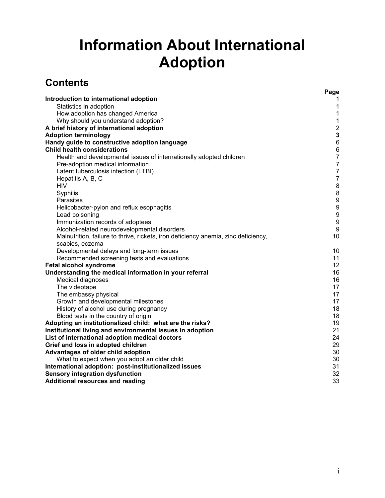## Information About International Adoption

## **Contents**

|                                                                                    | Page             |
|------------------------------------------------------------------------------------|------------------|
| Introduction to international adoption                                             | 1                |
| Statistics in adoption                                                             | 1                |
| How adoption has changed America                                                   | $\mathbf 1$      |
| Why should you understand adoption?                                                | $\mathbf{1}$     |
| A brief history of international adoption                                          | $\mathbf 2$      |
| <b>Adoption terminology</b>                                                        | $\mathbf 3$      |
| Handy guide to constructive adoption language                                      | $\,6$            |
| <b>Child health considerations</b>                                                 | $\,6\,$          |
| Health and developmental issues of internationally adopted children                | $\overline{7}$   |
| Pre-adoption medical information                                                   | $\overline{7}$   |
| Latent tuberculosis infection (LTBI)                                               | $\overline{7}$   |
| Hepatitis A, B, C                                                                  | $\boldsymbol{7}$ |
| <b>HIV</b>                                                                         | $\, 8$           |
| Syphilis                                                                           | $\bf 8$          |
| Parasites                                                                          | $\boldsymbol{9}$ |
| Helicobacter-pylon and reflux esophagitis                                          | $\boldsymbol{9}$ |
| Lead poisoning                                                                     | $\boldsymbol{9}$ |
| Immunization records of adoptees                                                   | $\boldsymbol{9}$ |
| Alcohol-related neurodevelopmental disorders                                       | 9                |
| Malnutrition, failure to thrive, rickets, iron deficiency anemia, zinc deficiency, | 10               |
| scabies, eczema                                                                    |                  |
| Developmental delays and long-term issues                                          | 10               |
| Recommended screening tests and evaluations                                        | 11               |
| Fetal alcohol syndrome                                                             | 12               |
| Understanding the medical information in your referral                             | 16               |
| <b>Medical diagnoses</b>                                                           | 16               |
| The videotape                                                                      | 17               |
| The embassy physical                                                               | 17               |
| Growth and developmental milestones                                                | 17               |
| History of alcohol use during pregnancy                                            | 18               |
| Blood tests in the country of origin                                               | 18               |
| Adopting an institutionalized child: what are the risks?                           | 19               |
| Institutional living and environmental issues in adoption                          | 21               |
| List of international adoption medical doctors                                     | 24               |
| Grief and loss in adopted children                                                 | 29               |
| Advantages of older child adoption                                                 | 30               |
| What to expect when you adopt an older child                                       | 30               |
| International adoption: post-institutionalized issues                              | 31               |
| <b>Sensory integration dysfunction</b>                                             | 32               |
| <b>Additional resources and reading</b>                                            | 33               |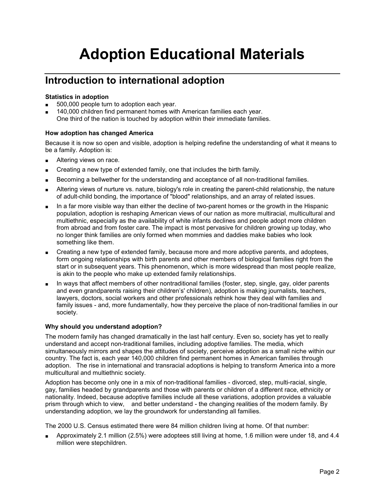## Adoption Educational Materials

### Introduction to international adoption

#### Statistics in adoption

- 500,000 people turn to adoption each year.
- 140,000 children find permanent homes with American families each year. One third of the nation is touched by adoption within their immediate families.

#### How adoption has changed America

Because it is now so open and visible, adoption is helping redefine the understanding of what it means to be a family. Adoption is:

- Altering views on race.
- Creating a new type of extended family, one that includes the birth family.
- Becoming a bellwether for the understanding and acceptance of all non-traditional families.
- Altering views of nurture vs. nature, biology's role in creating the parent-child relationship, the nature of adult-child bonding, the importance of "blood" relationships, and an array of related issues.
- In a far more visible way than either the decline of two-parent homes or the growth in the Hispanic population, adoption is reshaping American views of our nation as more multiracial, multicultural and multiethnic, especially as the availability of white infants declines and people adopt more children from abroad and from foster care. The impact is most pervasive for children growing up today, who no longer think families are only formed when mommies and daddies make babies who look something like them.
- Creating a new type of extended family, because more and more adoptive parents, and adoptees, form ongoing relationships with birth parents and other members of biological families right from the start or in subsequent years. This phenomenon, which is more widespread than most people realize, is akin to the people who make up extended family relationships.
- In ways that affect members of other nontraditional families (foster, step, single, gay, older parents and even grandparents raising their children's' children), adoption is making journalists, teachers, lawyers, doctors, social workers and other professionals rethink how they deal with families and family issues - and, more fundamentally, how they perceive the place of non-traditional families in our society.

#### Why should you understand adoption?

The modern family has changed dramatically in the last half century. Even so, society has yet to really understand and accept non-traditional families, including adoptive families. The media, which simultaneously mirrors and shapes the attitudes of society, perceive adoption as a small niche within our country. The fact is, each year 140,000 children find permanent homes in American families through adoption. The rise in international and transracial adoptions is helping to transform America into a more multicultural and multiethnic society.

Adoption has become only one in a mix of non-traditional families - divorced, step, multi-racial, single, gay, families headed by grandparents and those with parents or children of a different race, ethnicity or nationality. Indeed, because adoptive families include all these variations, adoption provides a valuable prism through which to view, and better understand - the changing realities of the modern family. By understanding adoption, we lay the groundwork for understanding all families.

The 2000 U.S. Census estimated there were 84 million children living at home. Of that number:

Approximately 2.1 million (2.5%) were adoptees still living at home, 1.6 million were under 18, and 4.4 million were stepchildren.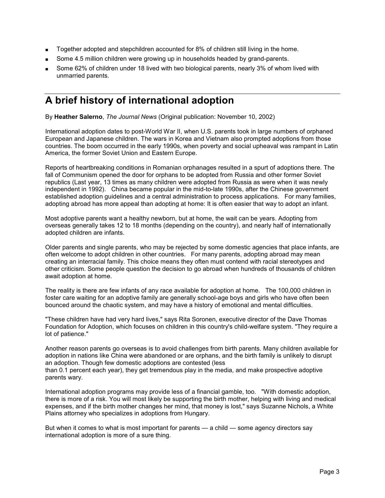- Together adopted and stepchildren accounted for 8% of children still living in the home.
- Some 4.5 million children were growing up in households headed by grand-parents.
- Some 62% of children under 18 lived with two biological parents, nearly 3% of whom lived with unmarried parents.

### A brief history of international adoption

By Heather Salerno, *The Journal News* (Original publication: November 10, 2002)

International adoption dates to post-World War II, when U.S. parents took in large numbers of orphaned European and Japanese children. The wars in Korea and Vietnam also prompted adoptions from those countries. The boom occurred in the early 1990s, when poverty and social upheaval was rampant in Latin America, the former Soviet Union and Eastern Europe.

Reports of heartbreaking conditions in Romanian orphanages resulted in a spurt of adoptions there. The fall of Communism opened the door for orphans to be adopted from Russia and other former Soviet republics (Last year, 13 times as many children were adopted from Russia as were when it was newly independent in 1992). China became popular in the mid-to-late 1990s, after the Chinese government established adoption guidelines and a central administration to process applications. For many families, adopting abroad has more appeal than adopting at home: It is often easier that way to adopt an infant.

Most adoptive parents want a healthy newborn, but at home, the wait can be years. Adopting from overseas generally takes 12 to 18 months (depending on the country), and nearly half of internationally adopted children are infants.

Older parents and single parents, who may be rejected by some domestic agencies that place infants, are often welcome to adopt children in other countries. For many parents, adopting abroad may mean creating an interracial family. This choice means they often must contend with racial stereotypes and other criticism. Some people question the decision to go abroad when hundreds of thousands of children await adoption at home.

The reality is there are few infants of any race available for adoption at home. The 100,000 children in foster care waiting for an adoptive family are generally school-age boys and girls who have often been bounced around the chaotic system, and may have a history of emotional and mental difficulties.

"These children have had very hard lives," says Rita Soronen, executive director of the Dave Thomas Foundation for Adoption, which focuses on children in this country's child-welfare system. "They require a lot of patience."

Another reason parents go overseas is to avoid challenges from birth parents. Many children available for adoption in nations like China were abandoned or are orphans, and the birth family is unlikely to disrupt an adoption. Though few domestic adoptions are contested (less

than 0.1 percent each year), they get tremendous play in the media, and make prospective adoptive parents wary.

International adoption programs may provide less of a financial gamble, too. "With domestic adoption, there is more of a risk. You will most likely be supporting the birth mother, helping with living and medical expenses, and if the birth mother changes her mind, that money is lost," says Suzanne Nichols, a White Plains attorney who specializes in adoptions from Hungary.

But when it comes to what is most important for parents — a child — some agency directors say international adoption is more of a sure thing.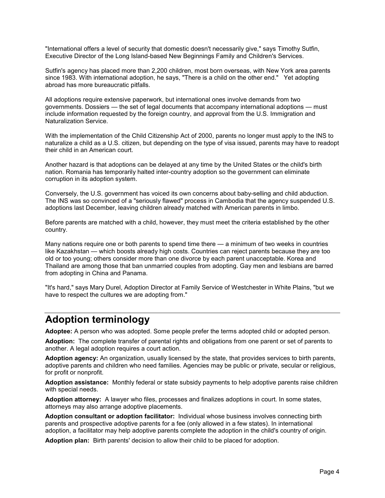"International offers a level of security that domestic doesn't necessarily give," says Timothy Sutfin, Executive Director of the Long Island-based New Beginnings Family and Children's Services.

Sutfin's agency has placed more than 2,200 children, most born overseas, with New York area parents since 1983. With international adoption, he says, "There is a child on the other end." Yet adopting abroad has more bureaucratic pitfalls.

All adoptions require extensive paperwork, but international ones involve demands from two governments. Dossiers — the set of legal documents that accompany international adoptions — must include information requested by the foreign country, and approval from the U.S. Immigration and Naturalization Service.

With the implementation of the Child Citizenship Act of 2000, parents no longer must apply to the INS to naturalize a child as a U.S. citizen, but depending on the type of visa issued, parents may have to readopt their child in an American court.

Another hazard is that adoptions can be delayed at any time by the United States or the child's birth nation. Romania has temporarily halted inter-country adoption so the government can eliminate corruption in its adoption system.

Conversely, the U.S. government has voiced its own concerns about baby-selling and child abduction. The INS was so convinced of a "seriously flawed" process in Cambodia that the agency suspended U.S. adoptions last December, leaving children already matched with American parents in limbo.

Before parents are matched with a child, however, they must meet the criteria established by the other country.

Many nations require one or both parents to spend time there — a minimum of two weeks in countries like Kazakhstan — which boosts already high costs. Countries can reject parents because they are too old or too young; others consider more than one divorce by each parent unacceptable. Korea and Thailand are among those that ban unmarried couples from adopting. Gay men and lesbians are barred from adopting in China and Panama.

"It's hard," says Mary Durel, Adoption Director at Family Service of Westchester in White Plains, "but we have to respect the cultures we are adopting from."

### Adoption terminology

Adoptee: A person who was adopted. Some people prefer the terms adopted child or adopted person.

Adoption: The complete transfer of parental rights and obligations from one parent or set of parents to another. A legal adoption requires a court action.

Adoption agency: An organization, usually licensed by the state, that provides services to birth parents, adoptive parents and children who need families. Agencies may be public or private, secular or religious, for profit or nonprofit.

Adoption assistance: Monthly federal or state subsidy payments to help adoptive parents raise children with special needs.

Adoption attorney: A lawyer who files, processes and finalizes adoptions in court. In some states, attorneys may also arrange adoptive placements.

Adoption consultant or adoption facilitator: Individual whose business involves connecting birth parents and prospective adoptive parents for a fee (only allowed in a few states). In international adoption, a facilitator may help adoptive parents complete the adoption in the child's country of origin.

Adoption plan: Birth parents' decision to allow their child to be placed for adoption.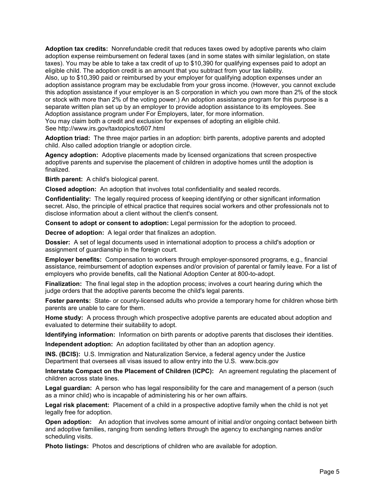Adoption tax credits: Nonrefundable credit that reduces taxes owed by adoptive parents who claim adoption expense reimbursement on federal taxes (and in some states with similar legislation, on state taxes). You may be able to take a tax credit of up to \$10,390 for qualifying expenses paid to adopt an eligible child. The adoption credit is an amount that you subtract from your tax liability.

Also, up to \$10,390 paid or reimbursed by your employer for qualifying adoption expenses under an adoption assistance program may be excludable from your gross income. (However, you cannot exclude this adoption assistance if your employer is an S corporation in which you own more than 2% of the stock or stock with more than 2% of the voting power.) An adoption assistance program for this purpose is a separate written plan set up by an employer to provide adoption assistance to its employees. See Adoption assistance program under For Employers, later, for more information.

You may claim both a credit and exclusion for expenses of adopting an eligible child. See http://www.irs.gov/taxtopics/tc607.html

Adoption triad: The three major parties in an adoption: birth parents, adoptive parents and adopted child. Also called adoption triangle or adoption circle.

Agency adoption: Adoptive placements made by licensed organizations that screen prospective adoptive parents and supervise the placement of children in adoptive homes until the adoption is finalized.

Birth parent: A child's biological parent.

Closed adoption: An adoption that involves total confidentiality and sealed records.

Confidentiality: The legally required process of keeping identifying or other significant information secret. Also, the principle of ethical practice that requires social workers and other professionals not to disclose information about a client without the client's consent.

Consent to adopt or consent to adoption: Legal permission for the adoption to proceed.

Decree of adoption: A legal order that finalizes an adoption.

Dossier: A set of legal documents used in international adoption to process a child's adoption or assignment of guardianship in the foreign court.

Employer benefits: Compensation to workers through employer-sponsored programs, e.g., financial assistance, reimbursement of adoption expenses and/or provision of parental or family leave. For a list of employers who provide benefits, call the National Adoption Center at 800-to-adopt.

Finalization: The final legal step in the adoption process; involves a court hearing during which the judge orders that the adoptive parents become the child's legal parents.

Foster parents: State- or county-licensed adults who provide a temporary home for children whose birth parents are unable to care for them.

Home study: A process through which prospective adoptive parents are educated about adoption and evaluated to determine their suitability to adopt.

Identifying information: Information on birth parents or adoptive parents that discloses their identities.

Independent adoption: An adoption facilitated by other than an adoption agency.

INS. (BCIS): U.S. Immigration and Naturalization Service, a federal agency under the Justice Department that oversees all visas issued to allow entry into the U.S. www.bcis.gov

Interstate Compact on the Placement of Children (ICPC): An agreement regulating the placement of children across state lines.

Legal guardian: A person who has legal responsibility for the care and management of a person (such as a minor child) who is incapable of administering his or her own affairs.

Legal risk placement: Placement of a child in a prospective adoptive family when the child is not yet legally free for adoption.

Open adoption: An adoption that involves some amount of initial and/or ongoing contact between birth and adoptive families, ranging from sending letters through the agency to exchanging names and/or scheduling visits.

Photo listings: Photos and descriptions of children who are available for adoption.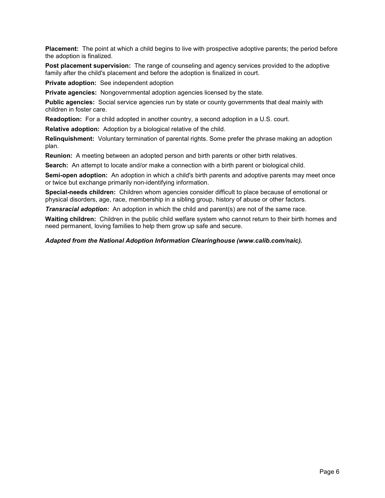Placement: The point at which a child begins to live with prospective adoptive parents; the period before the adoption is finalized.

Post placement supervision: The range of counseling and agency services provided to the adoptive family after the child's placement and before the adoption is finalized in court.

Private adoption: See independent adoption

Private agencies: Nongovernmental adoption agencies licensed by the state.

Public agencies: Social service agencies run by state or county governments that deal mainly with children in foster care.

Readoption: For a child adopted in another country, a second adoption in a U.S. court.

Relative adoption: Adoption by a biological relative of the child.

Relinquishment: Voluntary termination of parental rights. Some prefer the phrase making an adoption plan.

Reunion: A meeting between an adopted person and birth parents or other birth relatives.

Search: An attempt to locate and/or make a connection with a birth parent or biological child.

Semi-open adoption: An adoption in which a child's birth parents and adoptive parents may meet once or twice but exchange primarily non-identifying information.

Special-needs children: Children whom agencies consider difficult to place because of emotional or physical disorders, age, race, membership in a sibling group, history of abuse or other factors.

*Transracial adoption:* An adoption in which the child and parent(s) are not of the same race.

Waiting children: Children in the public child welfare system who cannot return to their birth homes and need permanent, loving families to help them grow up safe and secure.

*Adapted from the National Adoption Information Clearinghouse (www.calib.com/naic).*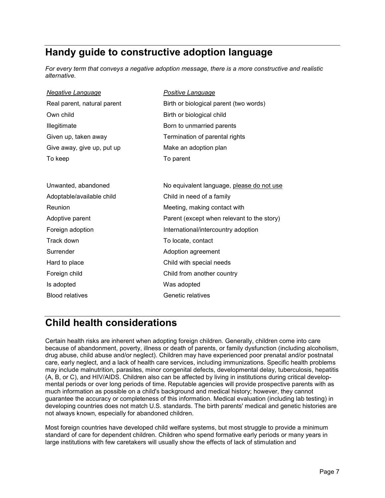### Handy guide to constructive adoption language

*For every term that conveys a negative adoption message, there is a more constructive and realistic alternative.* 

| <b>Negative Language</b>    | Positive Language                          |
|-----------------------------|--------------------------------------------|
| Real parent, natural parent | Birth or biological parent (two words)     |
| Own child                   | Birth or biological child                  |
| Illegitimate                | Born to unmarried parents                  |
| Given up, taken away        | Termination of parental rights             |
| Give away, give up, put up  | Make an adoption plan                      |
| To keep                     | To parent                                  |
|                             |                                            |
| Unwanted, abandoned         | No equivalent language, please do not use  |
| Adoptable/available child   | Child in need of a family                  |
| Reunion                     | Meeting, making contact with               |
| Adoptive parent             | Parent (except when relevant to the story) |
| Foreign adoption            | International/intercountry adoption        |
| Track down                  | To locate, contact                         |
| Surrender                   | Adoption agreement                         |
| Hard to place               | Child with special needs                   |
| Foreign child               | Child from another country                 |
| Is adopted                  | Was adopted                                |
| <b>Blood relatives</b>      | Genetic relatives                          |
|                             |                                            |

### Child health considerations

Certain health risks are inherent when adopting foreign children. Generally, children come into care because of abandonment, poverty, illness or death of parents, or family dysfunction (including alcoholism, drug abuse, child abuse and/or neglect). Children may have experienced poor prenatal and/or postnatal care, early neglect, and a lack of health care services, including immunizations. Specific health problems may include malnutrition, parasites, minor congenital defects, developmental delay, tuberculosis, hepatitis (A, B, or C), and HIV/AIDS. Children also can be affected by living in institutions during critical developmental periods or over long periods of time. Reputable agencies will provide prospective parents with as much information as possible on a child's background and medical history; however, they cannot guarantee the accuracy or completeness of this information. Medical evaluation (including lab testing) in developing countries does not match U.S. standards. The birth parents' medical and genetic histories are not always known, especially for abandoned children.

Most foreign countries have developed child welfare systems, but most struggle to provide a minimum standard of care for dependent children. Children who spend formative early periods or many years in large institutions with few caretakers will usually show the effects of lack of stimulation and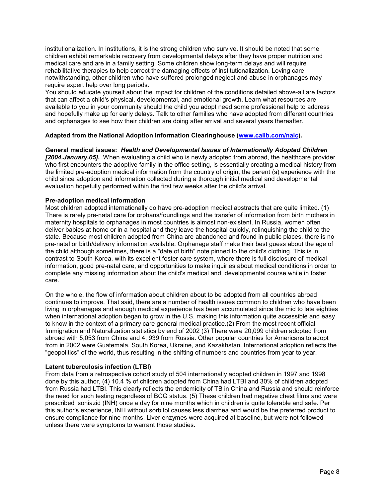institutionalization. In institutions, it is the strong children who survive. It should be noted that some children exhibit remarkable recovery from developmental delays after they have proper nutrition and medical care and are in a family setting. Some children show long-term delays and will require rehabilitative therapies to help correct the damaging effects of institutionalization. Loving care notwithstanding, other children who have suffered prolonged neglect and abuse in orphanages may require expert help over long periods.

You should educate yourself about the impact for children of the conditions detailed above-all are factors that can affect a child's physical, developmental, and emotional growth. Learn what resources are available to you in your community should the child you adopt need some professional help to address and hopefully make up for early delays. Talk to other families who have adopted from different countries and orphanages to see how their children are doing after arrival and several years thereafter.

#### Adapted from the National Adoption Information Clearinghouse (www.calib.com/naic).

General medical issues: *Health and Developmental Issues of Internationally Adopted Children [2004.January.05].* When evaluating a child who is newly adopted from abroad, the healthcare provider who first encounters the adoptive family in the office setting, is essentially creating a medical history from the limited pre-adoption medical information from the country of origin, the parent (s) experience with the child since adoption and information collected during a thorough initial medical and developmental evaluation hopefully performed within the first few weeks after the child's arrival.

#### Pre-adoption medical information

Most children adopted internationally do have pre-adoption medical abstracts that are quite limited. (1) There is rarely pre-natal care for orphans/foundlings and the transfer of information from birth mothers in maternity hospitals to orphanages in most countries is almost non-existent. In Russia, women often deliver babies at home or in a hospital and they leave the hospital quickly, relinquishing the child to the state. Because most children adopted from China are abandoned and found in public places, there is no pre-natal or birth/delivery information available. Orphanage staff make their best guess about the age of the child although sometimes, there is a "date of birth" note pinned to the child's clothing. This is in contrast to South Korea, with its excellent foster care system, where there is full disclosure of medical information, good pre-natal care, and opportunities to make inquiries about medical conditions in order to complete any missing information about the child's medical and developmental course while in foster care.

On the whole, the flow of information about children about to be adopted from all countries abroad continues to improve. That said, there are a number of health issues common to children who have been living in orphanages and enough medical experience has been accumulated since the mid to late eighties when international adoption began to grow in the U.S. making this information quite accessible and easy to know in the context of a primary care general medical practice.(2) From the most recent official Immigration and Naturalization statistics by end of 2002 (3) There were 20,099 children adopted from abroad with 5,053 from China and 4, 939 from Russia. Other popular countries for Americans to adopt from in 2002 were Guatemala, South Korea, Ukraine, and Kazakhstan. International adoption reflects the "geopolitics" of the world, thus resulting in the shifting of numbers and countries from year to year.

#### Latent tuberculosis infection (LTBI)

From data from a retrospective cohort study of 504 internationally adopted children in 1997 and 1998 done by this author, (4) 10.4 % of children adopted from China had LTBI and 30% of children adopted from Russia had LTBI. This clearly reflects the endemicity of TB in China and Russia and should reinforce the need for such testing regardless of BCG status. (5) These children had negative chest films and were prescribed isoniazid (INH) once a day for nine months which in children is quite tolerable and safe. Per this author's experience, INH without sorbitol causes less diarrhea and would be the preferred product to ensure compliance for nine months. Liver enzymes were acquired at baseline, but were not followed unless there were symptoms to warrant those studies.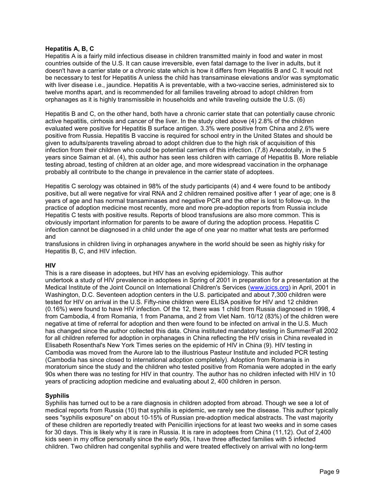#### Hepatitis A, B, C

Hepatitis A is a fairly mild infectious disease in children transmitted mainly in food and water in most countries outside of the U.S. It can cause irreversible, even fatal damage to the liver in adults, but it doesn't have a carrier state or a chronic state which is how it differs from Hepatitis B and C. It would not be necessary to test for Hepatitis A unless the child has transaminase elevations and/or was symptomatic with liver disease i.e., jaundice. Hepatitis A is preventable, with a two-vaccine series, administered six to twelve months apart, and is recommended for all families traveling abroad to adopt children from orphanages as it is highly transmissible in households and while traveling outside the U.S. (6)

Hepatitis B and C, on the other hand, both have a chronic carrier state that can potentially cause chronic active hepatitis, cirrhosis and cancer of the liver. In the study cited above (4) 2.8% of the children evaluated were positive for Hepatitis B surface antigen. 3.3% were positive from China and 2.6% were positive from Russia. Hepatitis B vaccine is required for school entry in the United States and should be given to adults/parents traveling abroad to adopt children due to the high risk of acquisition of this infection from their children who could be potential carriers of this infection. (7,8) Anecdotally, in the 5 years since Saiman et al. (4), this author has seen less children with carriage of Hepatitis B. More reliable testing abroad, testing of children at an older age, and more widespread vaccination in the orphanage probably all contribute to the change in prevalence in the carrier state of adoptees.

Hepatitis C serology was obtained in 98% of the study participants (4) and 4 were found to be antibody positive, but all were negative for viral RNA and 2 children remained positive after 1 year of age; one is 8 years of age and has normal transaminases and negative PCR and the other is lost to follow-up. In the practice of adoption medicine most recently, more and more pre-adoption reports from Russia include Hepatitis C tests with positive results. Reports of blood transfusions are also more common. This is obviously important information for parents to be aware of during the adoption process. Hepatitis C infection cannot be diagnosed in a child under the age of one year no matter what tests are performed and

transfusions in children living in orphanages anywhere in the world should be seen as highly risky for Hepatitis B, C, and HIV infection.

#### **HIV**

This is a rare disease in adoptees, but HIV has an evolving epidemiology. This author undertook a study of HIV prevalence in adoptees in Spring of 2001 in preparation for a presentation at the Medical Institute of the Joint Council on International Children's Services (www.jcics.org) in April, 2001 in Washington, D.C. Seventeen adoption centers in the U.S. participated and about 7,300 children were tested for HIV on arrival in the U.S. Fifty-nine children were ELISA positive for HIV and 12 children (0.16%) were found to have HIV infection. Of the 12, there was 1 child from Russia diagnosed in 1998, 4 from Cambodia, 4 from Romania, 1 from Panama, and 2 from Viet Nam. 10/12 (83%) of the children were negative at time of referral for adoption and then were found to be infected on arrival in the U.S. Much has changed since the author collected this data. China instituted mandatory testing in Summer/Fall 2002 for all children referred for adoption in orphanages in China reflecting the HIV crisis in China revealed in Elisabeth Rosenthal's New York Times series on the epidemic of HIV in China (9). HIV testing in Cambodia was moved from the Aurore lab to the illustrious Pasteur Institute and included PCR testing (Cambodia has since closed to international adoption completely). Adoption from Romania is in moratorium since the study and the children who tested positive from Romania were adopted in the early 90s when there was no testing for HIV in that country. The author has no children infected with HIV in 10 years of practicing adoption medicine and evaluating about 2, 400 children in person.

#### **Syphilis**

Syphilis has turned out to be a rare diagnosis in children adopted from abroad. Though we see a lot of medical reports from Russia (10) that syphilis is epidemic, we rarely see the disease. This author typically sees "syphilis exposure" on about 10-15% of Russian pre-adoption medical abstracts. The vast majority of these children are reportedly treated with Penicillin injections for at least two weeks and in some cases for 30 days. This is likely why it is rare in Russia. It is rare in adoptees from China (11,12). Out of 2,400 kids seen in my office personally since the early 90s, I have three affected families with 5 infected children. Two children had congenital syphilis and were treated effectively on arrival with no long-term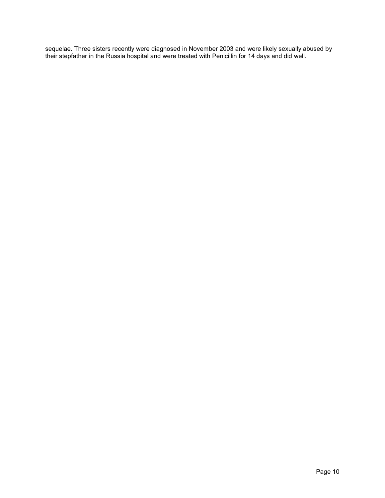sequelae. Three sisters recently were diagnosed in November 2003 and were likely sexually abused by their stepfather in the Russia hospital and were treated with Penicillin for 14 days and did well.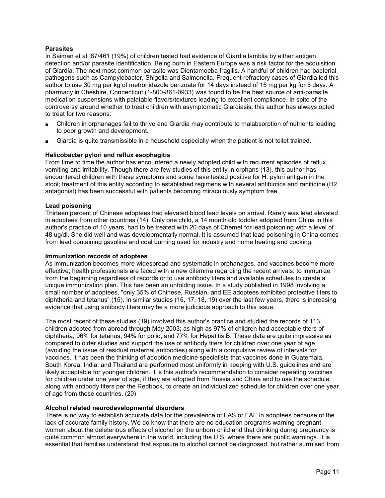#### **Parasites**

In Saiman et al, 87/461 (19%) of children tested had evidence of Giardia lamblia by either antigen detection and/or parasite identification. Being born in Eastern Europe was a risk factor for the acquisition of Giardia. The next most common parasite was Dientamoeba fragilis. A handful of children had bacterial pathogens such as Campylobacter, Shigella and Salmonella. Frequent refractory cases of Giardia led this author to use 30 mg per kg of metronidazole benzoate for 14 days instead of 15 mg per kg for 5 days. A pharmacy in Cheshire, Connecticut (1-800-861-0933) was found to be the best source of anti-parasite medication suspensions with palatable flavors/textures leading to excellent compliance. In spite of the controversy around whether to treat children with asymptomatic Giardiasis, this author has always opted to treat for two reasons:

- Children in orphanages fail to thrive and Giardia may contribute to malabsorption of nutrients leading to poor growth and development.
- Giardia is quite transmissible in a household especially when the patient is not toilet trained.

#### Helicobacter pylori and reflux esophagitis

From time to time the author has encountered a newly adopted child with recurrent episodes of reflux, vomiting and irritability. Though there are few studies of this entity in orphans (13), this author has encountered children with these symptoms and some have tested positive for H. pylori antigen in the stool; treatment of this entity according to established regimens with several antibiotics and ranitidine (H2 antagonist) has been successful with patients becoming miraculously symptom free.

#### Lead poisoning

Thirteen percent of Chinese adoptees had elevated blood lead levels on arrival. Rarely was lead elevated in adoptees from other countries (14). Only one child, a 14 month old toddler adopted from China in this author's practice of 10 years, had to be treated with 20 days of Chemet for lead poisoning with a level of 48 ug/dl. She did well and was developmentally normal. It is assumed that lead poisoning in China comes from lead containing gasoline and coal burning used for industry and home heating and cooking.

#### Immunization records of adoptees

As immunization becomes more widespread and systematic in orphanages, and vaccines become more effective, health professionals are faced with a new dilemma regarding the recent arrivals: to immunize from the beginning regardless of records or to use antibody titers and available schedules to create a unique immunization plan. This has been an unfolding issue. In a study published in 1998 involving a small number of adoptees, "only 35% of Chinese, Russian, and EE adoptees exhibited protective titers to diphtheria and tetanus" (15). In similar studies (16, 17, 18, 19) over the last few years, there is increasing evidence that using antibody titers may be a more judicious approach to this issue.

The most recent of these studies (19) involved this author's practice and studied the records of 113 children adopted from abroad through May 2003; as high as 97% of children had acceptable titers of diphtheria, 96% for tetanus, 94% for polio, and 77% for Hepatitis B. These data are quite impressive as compared to older studies and support the use of antibody titers for children over one year of age (avoiding the issue of residual maternal antibodies) along with a compulsive review of intervals for vaccines. It has been the thinking of adoption medicine specialists that vaccines done in Guatemala, South Korea, India, and Thailand are performed most uniformly in keeping with U.S. guidelines and are likely acceptable for younger children. It is this author's recommendation to consider repeating vaccines for children under one year of age, if they are adopted from Russia and China and to use the schedule along with antibody titers per the Redbook, to create an individualized schedule for children over one year of age from these countries. (20)

#### Alcohol related neurodevelopmental disorders

There is no way to establish accurate data for the prevalence of FAS or FAE in adoptees because of the lack of accurate family history. We do know that there are no education programs warning pregnant women about the deleterious effects of alcohol on the unborn child and that drinking during pregnancy is quite common almost everywhere in the world, including the U.S. where there are public warnings. It is essential that families understand that exposure to alcohol cannot be diagnosed, but rather surmised from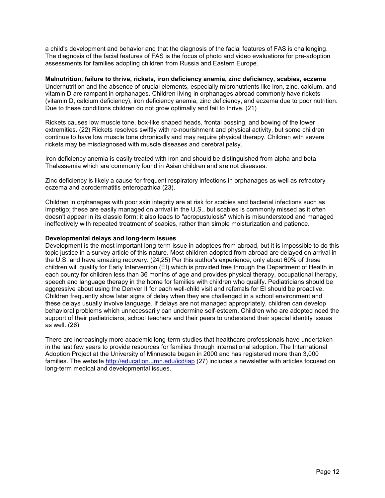a child's development and behavior and that the diagnosis of the facial features of FAS is challenging. The diagnosis of the facial features of FAS is the focus of photo and video evaluations for pre-adoption assessments for families adopting children from Russia and Eastern Europe.

Malnutrition, failure to thrive, rickets, iron deficiency anemia, zinc deficiency, scabies, eczema Undernutrition and the absence of crucial elements, especially micronutrients like iron, zinc, calcium, and vitamin D are rampant in orphanages. Children living in orphanages abroad commonly have rickets (vitamin D, calcium deficiency), iron deficiency anemia, zinc deficiency, and eczema due to poor nutrition. Due to these conditions children do not grow optimally and fail to thrive. (21)

Rickets causes low muscle tone, box-like shaped heads, frontal bossing, and bowing of the lower extremities. (22) Rickets resolves swiftly with re-nourishment and physical activity, but some children continue to have low muscle tone chronically and may require physical therapy. Children with severe rickets may be misdiagnosed with muscle diseases and cerebral palsy.

Iron deficiency anemia is easily treated with iron and should be distinguished from alpha and beta Thalassemia which are commonly found in Asian children and are not diseases.

Zinc deficiency is likely a cause for frequent respiratory infections in orphanages as well as refractory eczema and acrodermatitis enteropathica (23).

Children in orphanages with poor skin integrity are at risk for scabies and bacterial infections such as impetigo; these are easily managed on arrival in the U.S., but scabies is commonly missed as it often doesn't appear in its classic form; it also leads to "acropustulosis" which is misunderstood and managed ineffectively with repeated treatment of scabies, rather than simple moisturization and patience.

#### Developmental delays and long-term issues

Development is the most important long-term issue in adoptees from abroad, but it is impossible to do this topic justice in a survey article of this nature. Most children adopted from abroad are delayed on arrival in the U.S. and have amazing recovery. (24,25) Per this author's experience, only about 60% of these children will qualify for Early Intervention (EI) which is provided free through the Department of Health in each county for children less than 36 months of age and provides physical therapy, occupational therapy, speech and language therapy in the home for families with children who qualify. Pediatricians should be aggressive about using the Denver II for each well-child visit and referrals for EI should be proactive. Children frequently show later signs of delay when they are challenged in a school environment and these delays usually involve language. If delays are not managed appropriately, children can develop behavioral problems which unnecessarily can undermine self-esteem. Children who are adopted need the support of their pediatricians, school teachers and their peers to understand their special identity issues as well. (26)

There are increasingly more academic long-term studies that healthcare professionals have undertaken in the last few years to provide resources for families through international adoption. The International Adoption Project at the University of Minnesota began in 2000 and has registered more than 3,000 families. The website http://education.umn.edu/icd/iap (27) includes a newsletter with articles focused on long-term medical and developmental issues.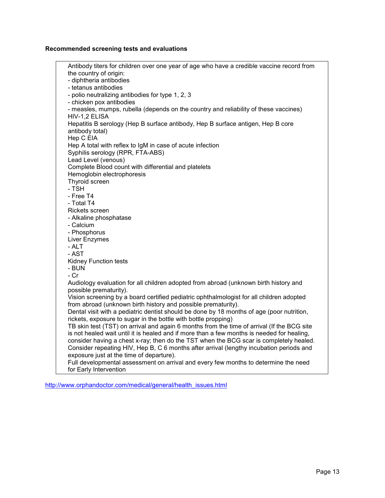#### Recommended screening tests and evaluations

Antibody titers for children over one year of age who have a credible vaccine record from the country of origin: - diphtheria antibodies - tetanus antibodies - polio neutralizing antibodies for type 1, 2, 3 - chicken pox antibodies - measles, mumps, rubella (depends on the country and reliability of these vaccines) HIV-1,2 ELISA Hepatitis B serology (Hep B surface antibody, Hep B surface antigen, Hep B core antibody total) Hep C EIA Hep A total with reflex to IgM in case of acute infection Syphilis serology (RPR, FTA-ABS) Lead Level (venous) Complete Blood count with differential and platelets Hemoglobin electrophoresis Thyroid screen - TSH - Free T4 - Total T4 Rickets screen - Alkaline phosphatase - Calcium - Phosphorus Liver Enzymes - ALT - AST Kidney Function tests - BUN - Cr Audiology evaluation for all children adopted from abroad (unknown birth history and possible prematurity). Vision screening by a board certified pediatric ophthalmologist for all children adopted from abroad (unknown birth history and possible prematurity). Dental visit with a pediatric dentist should be done by 18 months of age (poor nutrition, rickets, exposure to sugar in the bottle with bottle propping) TB skin test (TST) on arrival and again 6 months from the time of arrival (If the BCG site is not healed wait until it is healed and if more than a few months is needed for healing, consider having a chest x-ray; then do the TST when the BCG scar is completely healed. Consider repeating HIV, Hep B, C 6 months after arrival (lengthy incubation periods and exposure just at the time of departure). Full developmental assessment on arrival and every few months to determine the need for Early Intervention

http://www.orphandoctor.com/medical/general/health\_issues.html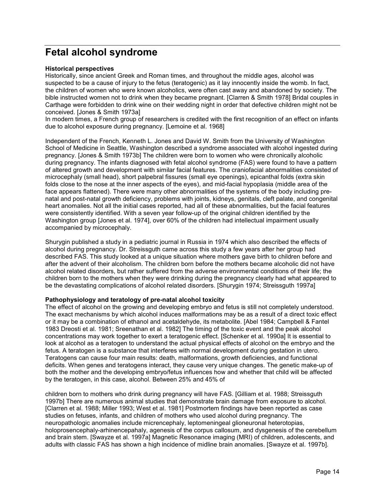### Fetal alcohol syndrome

#### Historical perspectives

Historically, since ancient Greek and Roman times, and throughout the middle ages, alcohol was suspected to be a cause of injury to the fetus (teratogenic) as it lay innocently inside the womb. In fact, the children of women who were known alcoholics, were often cast away and abandoned by society. The bible instructed women not to drink when they became pregnant. [Clarren & Smith 1978] Bridal couples in Carthage were forbidden to drink wine on their wedding night in order that defective children might not be conceived. [Jones & Smith 1973a]

In modern times, a French group of researchers is credited with the first recognition of an effect on infants due to alcohol exposure during pregnancy. [Lemoine et al. 1968]

Independent of the French, Kenneth L. Jones and David W. Smith from the University of Washington School of Medicine in Seattle, Washington described a syndrome associated with alcohol ingested during pregnancy. [Jones & Smith 1973b] The children were born to women who were chronically alcoholic during pregnancy. The infants diagnosed with fetal alcohol syndrome (FAS) were found to have a pattern of altered growth and development with similar facial features. The craniofacial abnormalities consisted of microcephaly (small head), short palpebral fissures (small eye openings), epicanthal folds (extra skin folds close to the nose at the inner aspects of the eyes), and mid-facial hypoplasia (middle area of the face appears flattened). There were many other abnormalities of the systems of the body including prenatal and post-natal growth deficiency, problems with joints, kidneys, genitals, cleft palate, and congenital heart anomalies. Not all the initial cases reported, had all of these abnormalities, but the facial features were consistently identified. With a seven year follow-up of the original children identified by the Washington group [Jones et al. 1974], over 60% of the children had intellectual impairment usually accompanied by microcephaly.

Shurygin published a study in a pediatric journal in Russia in 1974 which also described the effects of alcohol during pregnancy. Dr. Streissguth came across this study a few years after her group had described FAS. This study looked at a unique situation where mothers gave birth to children before and after the advent of their alcoholism. The children born before the mothers became alcoholic did not have alcohol related disorders, but rather suffered from the adverse environmental conditions of their life; the children born to the mothers when they were drinking during the pregnancy clearly had what appeared to be the devastating complications of alcohol related disorders. [Shurygin 1974; Streissguth 1997a]

#### Pathophysiology and teratology of pre-natal alcohol toxicity

The effect of alcohol on the growing and developing embryo and fetus is still not completely understood. The exact mechanisms by which alcohol induces malformations may be as a result of a direct toxic effect or it may be a combination of ethanol and acetaldehyde, its metabolite. [Abel 1984; Campbell & Fantel 1983 Dreosti et al. 1981; Sreenathan et al. 1982] The timing of the toxic event and the peak alcohol concentrations may work together to exert a teratogenic effect. [Schenker et al. 1990a] It is essential to look at alcohol as a teratogen to understand the actual physical effects of alcohol on the embryo and the fetus. A teratogen is a substance that interferes with normal development during gestation in utero. Teratogens can cause four main results: death, malformations, growth deficiencies, and functional deficits. When genes and teratogens interact, they cause very unique changes. The genetic make-up of both the mother and the developing embryo/fetus influences how and whether that child will be affected by the teratogen, in this case, alcohol. Between 25% and 45% of

children born to mothers who drink during pregnancy will have FAS. [Gilliam et al. 1988; Streissguth 1997b] There are numerous animal studies that demonstrate brain damage from exposure to alcohol. [Clarren et al. 1988; Miller 1993; West et al. 1981] Postmortem findings have been reported as case studies on fetuses, infants, and children of mothers who used alcohol during pregnancy. The neuropathologic anomalies include micrencephaly, leptomeningeal glioneuronal heterotopias, holoprosencephaly-arhinencepahaly, agenesis of the corpus callosum, and dysgenesis of the cerebellum and brain stem. [Swayze et al. 1997a] Magnetic Resonance imaging (MRI) of children, adolescents, and adults with classic FAS has shown a high incidence of midline brain anomalies. [Swayze et al. 1997b].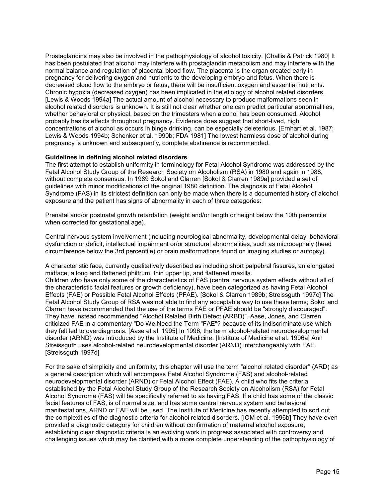Prostaglandins may also be involved in the pathophysiology of alcohol toxicity. [Challis & Patrick 1980] It has been postulated that alcohol may interfere with prostaglandin metabolism and may interfere with the normal balance and regulation of placental blood flow. The placenta is the organ created early in pregnancy for delivering oxygen and nutrients to the developing embryo and fetus. When there is decreased blood flow to the embryo or fetus, there will be insufficient oxygen and essential nutrients. Chronic hypoxia (decreased oxygen) has been implicated in the etiology of alcohol related disorders. [Lewis & Woods 1994a] The actual amount of alcohol necessary to produce malformations seen in alcohol related disorders is unknown. It is still not clear whether one can predict particular abnormalities, whether behavioral or physical, based on the trimesters when alcohol has been consumed. Alcohol probably has its effects throughout pregnancy. Evidence does suggest that short-lived, high concentrations of alcohol as occurs in binge drinking, can be especially deleterious. [Ernhart et al. 1987; Lewis & Woods 1994b; Schenker et al. 1990b; FDA 1981] The lowest harmless dose of alcohol during pregnancy is unknown and subsequently, complete abstinence is recommended.

#### Guidelines in defining alcohol related disorders

The first attempt to establish uniformity in terminology for Fetal Alcohol Syndrome was addressed by the Fetal Alcohol Study Group of the Research Society on Alcoholism (RSA) in 1980 and again in 1988, without complete consensus. In 1989 Sokol and Clarren [Sokol & Clarren 1989a] provided a set of guidelines with minor modifications of the original 1980 definition. The diagnosis of Fetal Alcohol Syndrome (FAS) in its strictest definition can only be made when there is a documented history of alcohol exposure and the patient has signs of abnormality in each of three categories:

Prenatal and/or postnatal growth retardation (weight and/or length or height below the 10th percentile when corrected for gestational age).

Central nervous system involvement (including neurological abnormality, developmental delay, behavioral dysfunction or deficit, intellectual impairment or/or structural abnormalities, such as microcephaly (head circumference below the 3rd percentile) or brain malformations found on imaging studies or autopsy).

A characteristic face, currently qualitatively described as including short palpebral fissures, an elongated midface, a long and flattened philtrum, thin upper lip, and flattened maxilla.

Children who have only some of the characteristics of FAS (central nervous system effects without all of the characteristic facial features or growth deficiency), have been categorized as having Fetal Alcohol Effects (FAE) or Possible Fetal Alcohol Effects (PFAE). [Sokol & Clarren 1989b; Streissguth 1997c] The Fetal Alcohol Study Group of RSA was not able to find any acceptable way to use these terms; Sokol and Clarren have recommended that the use of the terms FAE or PFAE should be "strongly discouraged". They have instead recommended "Alcohol Related Birth Defect (ARBD)". Aase, Jones, and Clarren criticized FAE in a commentary "Do We Need the Term "FAE"? because of its indiscriminate use which they felt led to overdiagnosis. [Aase et al. 1995] In 1996, the term alcohol-related neurodevelopmental disorder (ARND) was introduced by the Institute of Medicine. [Institute of Medicine et al. 1996a] Ann Streissguth uses alcohol-related neurodevelopmental disorder (ARND) interchangeably with FAE. [Streissguth 1997d]

For the sake of simplicity and uniformity, this chapter will use the term "alcohol related disorder" (ARD) as a general description which will encompass Fetal Alcohol Syndrome (FAS) and alcohol-related neurodevelopmental disorder (ARND) or Fetal Alcohol Effect (FAE). A child who fits the criteria established by the Fetal Alcohol Study Group of the Research Society on Alcoholism (RSA) for Fetal Alcohol Syndrome (FAS) will be specifically referred to as having FAS. If a child has some of the classic facial features of FAS, is of normal size, and has some central nervous system and behavioral manifestations, ARND or FAE will be used. The Institute of Medicine has recently attempted to sort out the complexities of the diagnostic criteria for alcohol related disorders. [IOM et al. 1996b] They have even provided a diagnostic category for children without confirmation of maternal alcohol exposure; establishing clear diagnostic criteria is an evolving work in progress associated with controversy and challenging issues which may be clarified with a more complete understanding of the pathophysiology of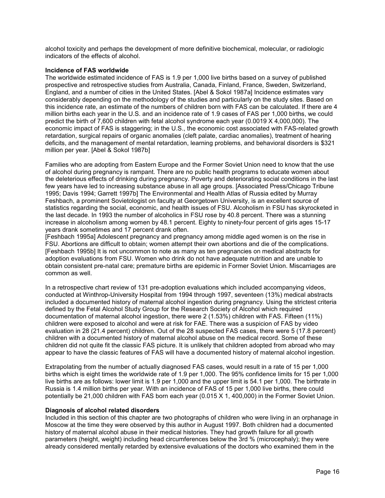alcohol toxicity and perhaps the development of more definitive biochemical, molecular, or radiologic indicators of the effects of alcohol.

#### Incidence of FAS worldwide

The worldwide estimated incidence of FAS is 1.9 per 1,000 live births based on a survey of published prospective and retrospective studies from Australia, Canada, Finland, France, Sweden, Switzerland, England, and a number of cities in the United States. [Abel & Sokol 1987a] Incidence estimates vary considerably depending on the methodology of the studies and particularly on the study sites. Based on this incidence rate, an estimate of the numbers of children born with FAS can be calculated. If there are 4 million births each year in the U.S. and an incidence rate of 1.9 cases of FAS per 1,000 births, we could predict the birth of 7,600 children with fetal alcohol syndrome each year (0.0019 X 4,000,000). The economic impact of FAS is staggering; in the U.S., the economic cost associated with FAS-related growth retardation, surgical repairs of organic anomalies (cleft palate, cardiac anomalies), treatment of hearing deficits, and the management of mental retardation, learning problems, and behavioral disorders is \$321 million per year. [Abel & Sokol 1987b]

Families who are adopting from Eastern Europe and the Former Soviet Union need to know that the use of alcohol during pregnancy is rampant. There are no public health programs to educate women about the deleterious effects of drinking during pregnancy. Poverty and deteriorating social conditions in the last few years have led to increasing substance abuse in all age groups. [Associated Press/Chicago Tribune 1995; Davis 1994; Garrett 1997b] The Environmental and Health Atlas of Russia edited by Murray Feshbach, a prominent Sovietologist on faculty at Georgetown University, is an excellent source of statistics regarding the social, economic, and health issues of FSU. Alcoholism in FSU has skyrocketed in the last decade. In 1993 the number of alcoholics in FSU rose by 40.8 percent. There was a stunning increase in alcoholism among women by 48.1 percent. Eighty to ninety-four percent of girls ages 15-17 years drank sometimes and 17 percent drank often.

[Feshbach 1995a] Adolescent pregnancy and pregnancy among middle aged women is on the rise in FSU. Abortions are difficult to obtain; women attempt their own abortions and die of the complications. [Feshbach 1995b] It is not uncommon to note as many as ten pregnancies on medical abstracts for adoption evaluations from FSU. Women who drink do not have adequate nutrition and are unable to obtain consistent pre-natal care; premature births are epidemic in Former Soviet Union. Miscarriages are common as well.

In a retrospective chart review of 131 pre-adoption evaluations which included accompanying videos, conducted at Winthrop-University Hospital from 1994 through 1997, seventeen (13%) medical abstracts included a documented history of maternal alcohol ingestion during pregnancy. Using the strictest criteria defined by the Fetal Alcohol Study Group for the Research Society of Alcohol which required documentation of maternal alcohol ingestion, there were 2 (1.53%) children with FAS. Fifteen (11%) children were exposed to alcohol and were at risk for FAE. There was a suspicion of FAS by video evaluation in 28 (21.4 percent) children. Out of the 28 suspected FAS cases, there were 5 (17.8 percent) children with a documented history of maternal alcohol abuse on the medical record. Some of these children did not quite fit the classic FAS picture. It is unlikely that children adopted from abroad who may appear to have the classic features of FAS will have a documented history of maternal alcohol ingestion.

Extrapolating from the number of actually diagnosed FAS cases, would result in a rate of 15 per 1,000 births which is eight times the worldwide rate of 1.9 per 1,000. The 95% confidence limits for 15 per 1,000 live births are as follows: lower limit is 1.9 per 1,000 and the upper limit is 54.1 per 1,000. The birthrate in Russia is 1.4 million births per year. With an incidence of FAS of 15 per 1,000 live births, there could potentially be 21,000 children with FAS born each year (0.015 X 1, 400,000) in the Former Soviet Union.

#### Diagnosis of alcohol related disorders

Included in this section of this chapter are two photographs of children who were living in an orphanage in Moscow at the time they were observed by this author in August 1997. Both children had a documented history of maternal alcohol abuse in their medical histories. They had growth failure for all growth parameters (height, weight) including head circumferences below the 3rd % (microcephaly); they were already considered mentally retarded by extensive evaluations of the doctors who examined them in the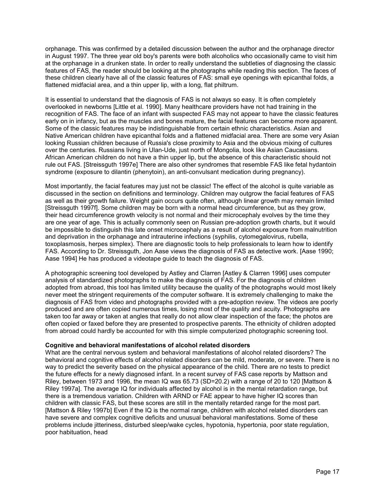orphanage. This was confirmed by a detailed discussion between the author and the orphanage director in August 1997. The three year old boy's parents were both alcoholics who occasionally came to visit him at the orphanage in a drunken state. In order to really understand the subtleties of diagnosing the classic features of FAS, the reader should be looking at the photographs while reading this section. The faces of these children clearly have all of the classic features of FAS: small eye openings with epicanthal folds, a flattened midfacial area, and a thin upper lip, with a long, flat philtrum.

It is essential to understand that the diagnosis of FAS is not always so easy. It is often completely overlooked in newborns [Little et al. 1990]. Many healthcare providers have not had training in the recognition of FAS. The face of an infant with suspected FAS may not appear to have the classic features early on in infancy, but as the muscles and bones mature, the facial features can become more apparent. Some of the classic features may be indistinguishable from certain ethnic characteristics. Asian and Native American children have epicanthal folds and a flattened midfacial area. There are some very Asian looking Russian children because of Russia's close proximity to Asia and the obvious mixing of cultures over the centuries. Russians living in Ulan-Ude, just north of Mongolia, look like Asian Caucasians. African American children do not have a thin upper lip, but the absence of this characteristic should not rule out FAS. [Streissguth 1997e] There are also other syndromes that resemble FAS like fetal hydantoin syndrome (exposure to dilantin (phenytoin), an anti-convulsant medication during pregnancy).

Most importantly, the facial features may just not be classic! The effect of the alcohol is quite variable as discussed in the section on definitions and terminology. Children may outgrow the facial features of FAS as well as their growth failure. Weight gain occurs quite often, although linear growth may remain limited [Streissguth 1997f]. Some children may be born with a normal head circumference, but as they grow, their head circumference growth velocity is not normal and their microcephaly evolves by the time they are one year of age. This is actually commonly seen on Russian pre-adoption growth charts, but it would be impossible to distinguish this late onset microcephaly as a result of alcohol exposure from malnutrition and deprivation in the orphanage and intrauterine infections (syphilis, cytomegalovirus, rubella, toxoplasmosis, herpes simplex). There are diagnostic tools to help professionals to learn how to identify FAS. According to Dr. Streissguth, Jon Aase views the diagnosis of FAS as detective work. [Aase 1990; Aase 1994] He has produced a videotape guide to teach the diagnosis of FAS.

A photographic screening tool developed by Astley and Clarren [Astley & Clarren 1996] uses computer analysis of standardized photographs to make the diagnosis of FAS. For the diagnosis of children adopted from abroad, this tool has limited utility because the quality of the photographs would most likely never meet the stringent requirements of the computer software. It is extremely challenging to make the diagnosis of FAS from video and photographs provided with a pre-adoption review. The videos are poorly produced and are often copied numerous times, losing most of the quality and acuity. Photographs are taken too far away or taken at angles that really do not allow clear inspection of the face; the photos are often copied or faxed before they are presented to prospective parents. The ethnicity of children adopted from abroad could hardly be accounted for with this simple computerized photographic screening tool.

#### Cognitive and behavioral manifestations of alcohol related disorders

What are the central nervous system and behavioral manifestations of alcohol related disorders? The behavioral and cognitive effects of alcohol related disorders can be mild, moderate, or severe. There is no way to predict the severity based on the physical appearance of the child. There are no tests to predict the future effects for a newly diagnosed infant. In a recent survey of FAS case reports by Mattson and Riley, between 1973 and 1996, the mean IQ was 65.73 (SD=20.2) with a range of 20 to 120 [Mattson & Riley 1997a]. The average IQ for individuals affected by alcohol is in the mental retardation range, but there is a tremendous variation. Children with ARND or FAE appear to have higher IQ scores than children with classic FAS, but these scores are still in the mentally retarded range for the most part. [Mattson & Riley 1997b] Even if the IQ is the normal range, children with alcohol related disorders can have severe and complex cognitive deficits and unusual behavioral manifestations. Some of these problems include jitteriness, disturbed sleep/wake cycles, hypotonia, hypertonia, poor state regulation, poor habituation, head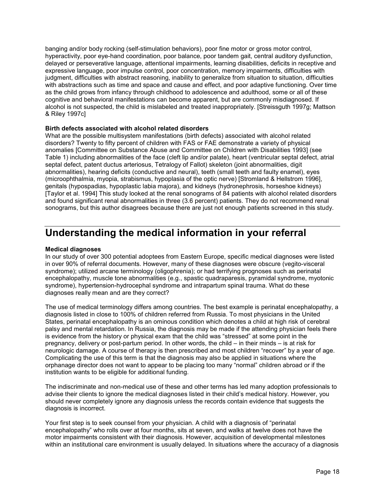banging and/or body rocking (self-stimulation behaviors), poor fine motor or gross motor control, hyperactivity, poor eye-hand coordination, poor balance, poor tandem gait, central auditory dysfunction, delayed or perseverative language, attentional impairments, learning disabilities, deficits in receptive and expressive language, poor impulse control, poor concentration, memory impairments, difficulties with judgment, difficulties with abstract reasoning, inability to generalize from situation to situation, difficulties with abstractions such as time and space and cause and effect, and poor adaptive functioning. Over time as the child grows from infancy through childhood to adolescence and adulthood, some or all of these cognitive and behavioral manifestations can become apparent, but are commonly misdiagnosed. If alcohol is not suspected, the child is mislabeled and treated inappropriately. [Streissguth 1997g; Mattson & Riley 1997c]

#### Birth defects associated with alcohol related disorders

What are the possible multisystem manifestations (birth defects) associated with alcohol related disorders? Twenty to fifty percent of children with FAS or FAE demonstrate a variety of physical anomalies [Committee on Substance Abuse and Committee on Children with Disabilities 1993] (see Table 1) including abnormalities of the face (cleft lip and/or palate), heart (ventricular septal defect, atrial septal defect, patent ductus arteriosus, Tetralogy of Fallot) skeleton (joint abnormalities, digit abnormalities), hearing deficits (conductive and neural), teeth (small teeth and faulty enamel), eyes (microophthalmia, myopia, strabismus, hypoplasia of the optic nerve) [Stromland & Hellstrom 1996], genitals (hypospadias, hypoplastic labia majora), and kidneys (hydronephrosis, horseshoe kidneys) [Taylor et al. 1994] This study looked at the renal sonograms of 84 patients with alcohol related disorders and found significant renal abnormalities in three (3.6 percent) patients. They do not recommend renal sonograms, but this author disagrees because there are just not enough patients screened in this study.

### Understanding the medical information in your referral

#### Medical diagnoses

In our study of over 300 potential adoptees from Eastern Europe, specific medical diagnoses were listed in over 90% of referral documents. However, many of these diagnoses were obscure (vegito-visceral syndrome); utilized arcane terminology (oligophrenia); or had terrifying prognoses such as perinatal encephalopathy, muscle tone abnormalities (e.g., spastic quadraparesis, pyramidal syndrome, myotonic syndrome), hypertension-hydrocephal syndrome and intrapartum spinal trauma. What do these diagnoses really mean and are they correct?

The use of medical terminology differs among countries. The best example is perinatal encephalopathy, a diagnosis listed in close to 100% of children referred from Russia. To most physicians in the United States, perinatal encephalopathy is an ominous condition which denotes a child at high risk of cerebral palsy and mental retardation. In Russia, the diagnosis may be made if the attending physician feels there is evidence from the history or physical exam that the child was "stressed" at some point in the pregnancy, delivery or post-partum period. In other words, the child – in their minds – is at risk for neurologic damage. A course of therapy is then prescribed and most children "recover" by a year of age. Complicating the use of this term is that the diagnosis may also be applied in situations where the orphanage director does not want to appear to be placing too many "normal" children abroad or if the institution wants to be eligible for additional funding.

The indiscriminate and non-medical use of these and other terms has led many adoption professionals to advise their clients to ignore the medical diagnoses listed in their child's medical history. However, you should never completely ignore any diagnosis unless the records contain evidence that suggests the diagnosis is incorrect.

Your first step is to seek counsel from your physician. A child with a diagnosis of "perinatal encephalopathy" who rolls over at four months, sits at seven, and walks at twelve does not have the motor impairments consistent with their diagnosis. However, acquisition of developmental milestones within an institutional care environment is usually delayed. In situations where the accuracy of a diagnosis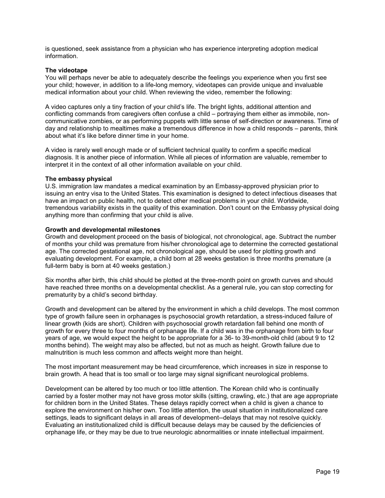is questioned, seek assistance from a physician who has experience interpreting adoption medical information.

#### The videotape

You will perhaps never be able to adequately describe the feelings you experience when you first see your child; however, in addition to a life-long memory, videotapes can provide unique and invaluable medical information about your child. When reviewing the video, remember the following:

A video captures only a tiny fraction of your child's life. The bright lights, additional attention and conflicting commands from caregivers often confuse a child – portraying them either as immobile, noncommunicative zombies, or as performing puppets with little sense of self-direction or awareness. Time of day and relationship to mealtimes make a tremendous difference in how a child responds – parents, think about what it's like before dinner time in your home.

A video is rarely well enough made or of sufficient technical quality to confirm a specific medical diagnosis. It is another piece of information. While all pieces of information are valuable, remember to interpret it in the context of all other information available on your child.

#### The embassy physical

U.S. immigration law mandates a medical examination by an Embassy-approved physician prior to issuing an entry visa to the United States. This examination is designed to detect infectious diseases that have an impact on public health, not to detect other medical problems in your child. Worldwide, tremendous variability exists in the quality of this examination. Don't count on the Embassy physical doing anything more than confirming that your child is alive.

#### Growth and developmental milestones

Growth and development proceed on the basis of biological, not chronological, age. Subtract the number of months your child was premature from his/her chronological age to determine the corrected gestational age. The corrected gestational age, not chronological age, should be used for plotting growth and evaluating development. For example, a child born at 28 weeks gestation is three months premature (a full-term baby is born at 40 weeks gestation.)

Six months after birth, this child should be plotted at the three-month point on growth curves and should have reached three months on a developmental checklist. As a general rule, you can stop correcting for prematurity by a child's second birthday.

Growth and development can be altered by the environment in which a child develops. The most common type of growth failure seen in orphanages is psychosocial growth retardation, a stress-induced failure of linear growth (kids are short). Children with psychosocial growth retardation fall behind one month of growth for every three to four months of orphanage life. If a child was in the orphanage from birth to four years of age, we would expect the height to be appropriate for a 36- to 39-month-old child (about 9 to 12 months behind). The weight may also be affected, but not as much as height. Growth failure due to malnutrition is much less common and affects weight more than height.

The most important measurement may be head circumference, which increases in size in response to brain growth. A head that is too small or too large may signal significant neurological problems.

Development can be altered by too much or too little attention. The Korean child who is continually carried by a foster mother may not have gross motor skills (sitting, crawling, etc.) that are age appropriate for children born in the United States. These delays rapidly correct when a child is given a chance to explore the environment on his/her own. Too little attention, the usual situation in institutionalized care settings, leads to significant delays in all areas of development--delays that may not resolve quickly. Evaluating an institutionalized child is difficult because delays may be caused by the deficiencies of orphanage life, or they may be due to true neurologic abnormalities or innate intellectual impairment.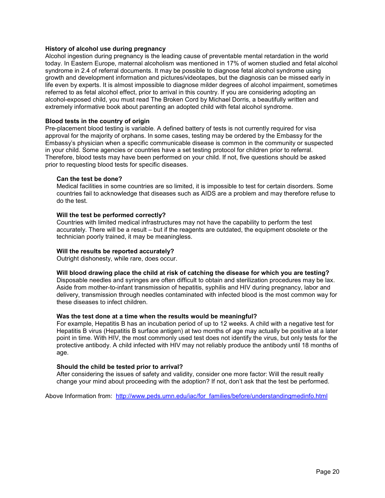#### History of alcohol use during pregnancy

Alcohol ingestion during pregnancy is the leading cause of preventable mental retardation in the world today. In Eastern Europe, maternal alcoholism was mentioned in 17% of women studied and fetal alcohol syndrome in 2.4 of referral documents. It may be possible to diagnose fetal alcohol syndrome using growth and development information and pictures/videotapes, but the diagnosis can be missed early in life even by experts. It is almost impossible to diagnose milder degrees of alcohol impairment, sometimes referred to as fetal alcohol effect, prior to arrival in this country. If you are considering adopting an alcohol-exposed child, you must read The Broken Cord by Michael Dorris, a beautifully written and extremely informative book about parenting an adopted child with fetal alcohol syndrome.

#### Blood tests in the country of origin

Pre-placement blood testing is variable. A defined battery of tests is not currently required for visa approval for the majority of orphans. In some cases, testing may be ordered by the Embassy for the Embassy's physician when a specific communicable disease is common in the community or suspected in your child. Some agencies or countries have a set testing protocol for children prior to referral. Therefore, blood tests may have been performed on your child. If not, five questions should be asked prior to requesting blood tests for specific diseases.

#### Can the test be done?

Medical facilities in some countries are so limited, it is impossible to test for certain disorders. Some countries fail to acknowledge that diseases such as AIDS are a problem and may therefore refuse to do the test.

#### Will the test be performed correctly?

Countries with limited medical infrastructures may not have the capability to perform the test accurately. There will be a result – but if the reagents are outdated, the equipment obsolete or the technician poorly trained, it may be meaningless.

#### Will the results be reported accurately?

Outright dishonesty, while rare, does occur.

#### Will blood drawing place the child at risk of catching the disease for which you are testing?

Disposable needles and syringes are often difficult to obtain and sterilization procedures may be lax. Aside from mother-to-infant transmission of hepatitis, syphilis and HIV during pregnancy, labor and delivery, transmission through needles contaminated with infected blood is the most common way for these diseases to infect children.

#### Was the test done at a time when the results would be meaningful?

For example, Hepatitis B has an incubation period of up to 12 weeks. A child with a negative test for Hepatitis B virus (Hepatitis B surface antigen) at two months of age may actually be positive at a later point in time. With HIV, the most commonly used test does not identify the virus, but only tests for the protective antibody. A child infected with HIV may not reliably produce the antibody until 18 months of age.

#### Should the child be tested prior to arrival?

After considering the issues of safety and validity, consider one more factor: Will the result really change your mind about proceeding with the adoption? If not, don't ask that the test be performed.

Above Information from: http://www.peds.umn.edu/iac/for\_families/before/understandingmedinfo.html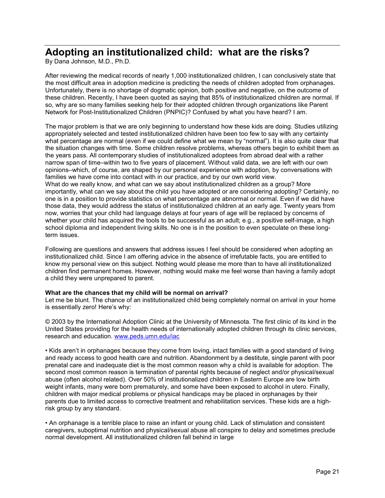### Adopting an institutionalized child: what are the risks?

By Dana Johnson, M.D., Ph.D.

After reviewing the medical records of nearly 1,000 institutionalized children, I can conclusively state that the most difficult area in adoption medicine is predicting the needs of children adopted from orphanages. Unfortunately, there is no shortage of dogmatic opinion, both positive and negative, on the outcome of these children. Recently, I have been quoted as saying that 85% of institutionalized children are normal. If so, why are so many families seeking help for their adopted children through organizations like Parent Network for Post-Institutionalized Children (PNPIC)? Confused by what you have heard? I am.

The major problem is that we are only beginning to understand how these kids are doing. Studies utilizing appropriately selected and tested institutionalized children have been too few to say with any certainty what percentage are normal (even if we could define what we mean by "normal"). It is also quite clear that the situation changes with time. Some children resolve problems, whereas others begin to exhibit them as the years pass. All contemporary studies of institutionalized adoptees from abroad deal with a rather narrow span of time–within two to five years of placement. Without valid data, we are left with our own opinions–which, of course, are shaped by our personal experience with adoption, by conversations with families we have come into contact with in our practice, and by our own world view. What do we really know, and what can we say about institutionalized children as a group? More importantly, what can we say about the child you have adopted or are considering adopting? Certainly, no one is in a position to provide statistics on what percentage are abnormal or normal. Even if we did have those data, they would address the status of institutionalized children at an early age. Twenty years from now, worries that your child had language delays at four years of age will be replaced by concerns of whether your child has acquired the tools to be successful as an adult; e.g., a positive self-image, a high school diploma and independent living skills. No one is in the position to even speculate on these longterm issues.

Following are questions and answers that address issues I feel should be considered when adopting an institutionalized child. Since I am offering advice in the absence of irrefutable facts, you are entitled to know my personal view on this subject. Nothing would please me more than to have all institutionalized children find permanent homes. However, nothing would make me feel worse than having a family adopt a child they were unprepared to parent.

#### What are the chances that my child will be normal on arrival?

Let me be blunt. The chance of an institutionalized child being completely normal on arrival in your home is essentially zero! Here's why:

© 2003 by the International Adoption Clinic at the University of Minnesota. The first clinic of its kind in the United States providing for the health needs of internationally adopted children through its clinic services, research and education. www.peds.umn.edu/iac

• Kids aren't in orphanages because they come from loving, intact families with a good standard of living and ready access to good health care and nutrition. Abandonment by a destitute, single parent with poor prenatal care and inadequate diet is the most common reason why a child is available for adoption. The second most common reason is termination of parental rights because of neglect and/or physical/sexual abuse (often alcohol related). Over 50% of institutionalized children in Eastern Europe are low birth weight infants, many were born prematurely, and some have been exposed to alcohol in utero. Finally, children with major medical problems or physical handicaps may be placed in orphanages by their parents due to limited access to corrective treatment and rehabilitation services. These kids are a highrisk group by any standard.

• An orphanage is a terrible place to raise an infant or young child. Lack of stimulation and consistent caregivers, suboptimal nutrition and physical/sexual abuse all conspire to delay and sometimes preclude normal development. All institutionalized children fall behind in large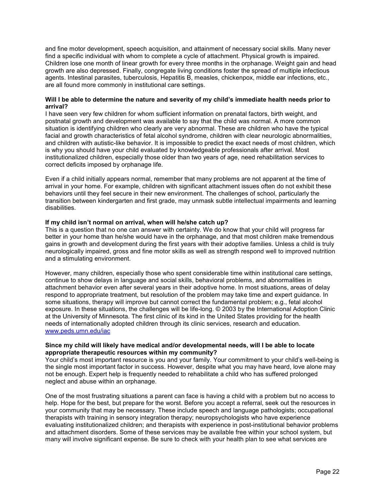and fine motor development, speech acquisition, and attainment of necessary social skills. Many never find a specific individual with whom to complete a cycle of attachment. Physical growth is impaired. Children lose one month of linear growth for every three months in the orphanage. Weight gain and head growth are also depressed. Finally, congregate living conditions foster the spread of multiple infectious agents. Intestinal parasites, tuberculosis, Hepatitis B, measles, chickenpox, middle ear infections, etc., are all found more commonly in institutional care settings.

#### Will I be able to determine the nature and severity of my child's immediate health needs prior to arrival?

I have seen very few children for whom sufficient information on prenatal factors, birth weight, and postnatal growth and development was available to say that the child was normal. A more common situation is identifying children who clearly are very abnormal. These are children who have the typical facial and growth characteristics of fetal alcohol syndrome, children with clear neurologic abnormalities, and children with autistic-like behavior. It is impossible to predict the exact needs of most children, which is why you should have your child evaluated by knowledgeable professionals after arrival. Most institutionalized children, especially those older than two years of age, need rehabilitation services to correct deficits imposed by orphanage life.

Even if a child initially appears normal, remember that many problems are not apparent at the time of arrival in your home. For example, children with significant attachment issues often do not exhibit these behaviors until they feel secure in their new environment. The challenges of school, particularly the transition between kindergarten and first grade, may unmask subtle intellectual impairments and learning disabilities.

#### If my child isn't normal on arrival, when will he/she catch up?

This is a question that no one can answer with certainty. We do know that your child will progress far better in your home than he/she would have in the orphanage, and that most children make tremendous gains in growth and development during the first years with their adoptive families. Unless a child is truly neurologically impaired, gross and fine motor skills as well as strength respond well to improved nutrition and a stimulating environment.

However, many children, especially those who spent considerable time within institutional care settings, continue to show delays in language and social skills, behavioral problems, and abnormalities in attachment behavior even after several years in their adoptive home. In most situations, areas of delay respond to appropriate treatment, but resolution of the problem may take time and expert guidance. In some situations, therapy will improve but cannot correct the fundamental problem; e.g., fetal alcohol exposure. In these situations, the challenges will be life-long. © 2003 by the International Adoption Clinic at the University of Minnesota. The first clinic of its kind in the United States providing for the health needs of internationally adopted children through its clinic services, research and education. www.peds.umn.edu/iac

#### Since my child will likely have medical and/or developmental needs, will I be able to locate appropriate therapeutic resources within my community?

Your child's most important resource is you and your family. Your commitment to your child's well-being is the single most important factor in success. However, despite what you may have heard, love alone may not be enough. Expert help is frequently needed to rehabilitate a child who has suffered prolonged neglect and abuse within an orphanage.

One of the most frustrating situations a parent can face is having a child with a problem but no access to help. Hope for the best, but prepare for the worst. Before you accept a referral, seek out the resources in your community that may be necessary. These include speech and language pathologists; occupational therapists with training in sensory integration therapy; neuropsychologists who have experience evaluating institutionalized children; and therapists with experience in post-institutional behavior problems and attachment disorders. Some of these services may be available free within your school system, but many will involve significant expense. Be sure to check with your health plan to see what services are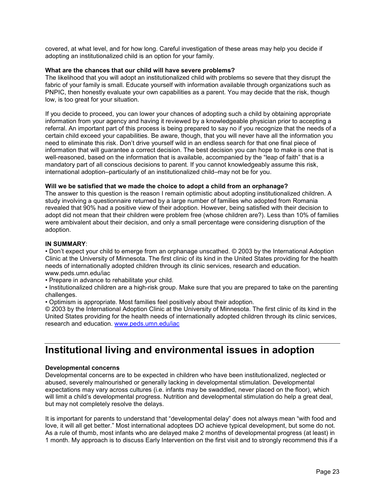covered, at what level, and for how long. Careful investigation of these areas may help you decide if adopting an institutionalized child is an option for your family.

#### What are the chances that our child will have severe problems?

The likelihood that you will adopt an institutionalized child with problems so severe that they disrupt the fabric of your family is small. Educate yourself with information available through organizations such as PNPIC, then honestly evaluate your own capabilities as a parent. You may decide that the risk, though low, is too great for your situation.

If you decide to proceed, you can lower your chances of adopting such a child by obtaining appropriate information from your agency and having it reviewed by a knowledgeable physician prior to accepting a referral. An important part of this process is being prepared to say no if you recognize that the needs of a certain child exceed your capabilities. Be aware, though, that you will never have all the information you need to eliminate this risk. Don't drive yourself wild in an endless search for that one final piece of information that will guarantee a correct decision. The best decision you can hope to make is one that is well-reasoned, based on the information that is available, accompanied by the "leap of faith" that is a mandatory part of all conscious decisions to parent. If you cannot knowledgeably assume this risk, international adoption–particularly of an institutionalized child–may not be for you.

#### Will we be satisfied that we made the choice to adopt a child from an orphanage?

The answer to this question is the reason I remain optimistic about adopting institutionalized children. A study involving a questionnaire returned by a large number of families who adopted from Romania revealed that 90% had a positive view of their adoption. However, being satisfied with their decision to adopt did not mean that their children were problem free (whose children are?). Less than 10% of families were ambivalent about their decision, and only a small percentage were considering disruption of the adoption.

#### IN SUMMARY:

• Don't expect your child to emerge from an orphanage unscathed. © 2003 by the International Adoption Clinic at the University of Minnesota. The first clinic of its kind in the United States providing for the health needs of internationally adopted children through its clinic services, research and education. www.peds.umn.edu/iac

• Prepare in advance to rehabilitate your child.

• Institutionalized children are a high-risk group. Make sure that you are prepared to take on the parenting challenges.

• Optimism is appropriate. Most families feel positively about their adoption.

© 2003 by the International Adoption Clinic at the University of Minnesota. The first clinic of its kind in the United States providing for the health needs of internationally adopted children through its clinic services, research and education. www.peds.umn.edu/iac

### Institutional living and environmental issues in adoption

#### Developmental concerns

Developmental concerns are to be expected in children who have been institutionalized, neglected or abused, severely malnourished or generally lacking in developmental stimulation. Developmental expectations may vary across cultures (i.e. infants may be swaddled, never placed on the floor), which will limit a child's developmental progress. Nutrition and developmental stimulation do help a great deal, but may not completely resolve the delays.

It is important for parents to understand that "developmental delay" does not always mean "with food and love, it will all get better." Most international adoptees DO achieve typical development, but some do not. As a rule of thumb, most infants who are delayed make 2 months of developmental progress (at least) in 1 month. My approach is to discuss Early Intervention on the first visit and to strongly recommend this if a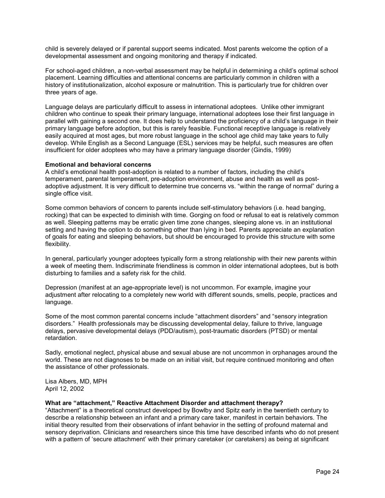child is severely delayed or if parental support seems indicated. Most parents welcome the option of a developmental assessment and ongoing monitoring and therapy if indicated.

For school-aged children, a non-verbal assessment may be helpful in determining a child's optimal school placement. Learning difficulties and attentional concerns are particularly common in children with a history of institutionalization, alcohol exposure or malnutrition. This is particularly true for children over three years of age.

Language delays are particularly difficult to assess in international adoptees. Unlike other immigrant children who continue to speak their primary language, international adoptees lose their first language in parallel with gaining a second one. It does help to understand the proficiency of a child's language in their primary language before adoption, but this is rarely feasible. Functional receptive language is relatively easily acquired at most ages, but more robust language in the school age child may take years to fully develop. While English as a Second Language (ESL) services may be helpful, such measures are often insufficient for older adoptees who may have a primary language disorder (Gindis, 1999)

#### Emotional and behavioral concerns

A child's emotional health post-adoption is related to a number of factors, including the child's temperament, parental temperament, pre-adoption environment, abuse and health as well as postadoptive adjustment. It is very difficult to determine true concerns vs. "within the range of normal" during a single office visit.

Some common behaviors of concern to parents include self-stimulatory behaviors (i.e. head banging, rocking) that can be expected to diminish with time. Gorging on food or refusal to eat is relatively common as well. Sleeping patterns may be erratic given time zone changes, sleeping alone vs. in an institutional setting and having the option to do something other than lying in bed. Parents appreciate an explanation of goals for eating and sleeping behaviors, but should be encouraged to provide this structure with some flexibility.

In general, particularly younger adoptees typically form a strong relationship with their new parents within a week of meeting them. Indiscriminate friendliness is common in older international adoptees, but is both disturbing to families and a safety risk for the child.

Depression (manifest at an age-appropriate level) is not uncommon. For example, imagine your adjustment after relocating to a completely new world with different sounds, smells, people, practices and language.

Some of the most common parental concerns include "attachment disorders" and "sensory integration disorders." Health professionals may be discussing developmental delay, failure to thrive, language delays, pervasive developmental delays (PDD/autism), post-traumatic disorders (PTSD) or mental retardation.

Sadly, emotional neglect, physical abuse and sexual abuse are not uncommon in orphanages around the world. These are not diagnoses to be made on an initial visit, but require continued monitoring and often the assistance of other professionals.

Lisa Albers, MD, MPH April 12, 2002

#### What are "attachment," Reactive Attachment Disorder and attachment therapy?

"Attachment" is a theoretical construct developed by Bowlby and Spitz early in the twentieth century to describe a relationship between an infant and a primary care taker, manifest in certain behaviors. The initial theory resulted from their observations of infant behavior in the setting of profound maternal and sensory deprivation. Clinicians and researchers since this time have described infants who do not present with a pattern of 'secure attachment' with their primary caretaker (or caretakers) as being at significant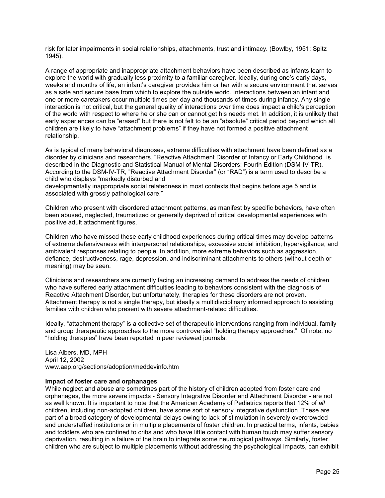risk for later impairments in social relationships, attachments, trust and intimacy. (Bowlby, 1951; Spitz 1945).

A range of appropriate and inappropriate attachment behaviors have been described as infants learn to explore the world with gradually less proximity to a familiar caregiver. Ideally, during one's early days, weeks and months of life, an infant's caregiver provides him or her with a secure environment that serves as a safe and secure base from which to explore the outside world. Interactions between an infant and one or more caretakers occur multiple times per day and thousands of times during infancy. Any single interaction is not critical, but the general quality of interactions over time does impact a child's perception of the world with respect to where he or she can or cannot get his needs met. In addition, it is unlikely that early experiences can be "erased" but there is not felt to be an "absolute" critical period beyond which all children are likely to have "attachment problems" if they have not formed a positive attachment relationship.

As is typical of many behavioral diagnoses, extreme difficulties with attachment have been defined as a disorder by clinicians and researchers. "Reactive Attachment Disorder of Infancy or Early Childhood" is described in the Diagnostic and Statistical Manual of Mental Disorders: Fourth Edition (DSM-IV-TR). According to the DSM-IV-TR, "Reactive Attachment Disorder" (or "RAD") is a term used to describe a child who displays "markedly disturbed and

developmentally inappropriate social relatedness in most contexts that begins before age 5 and is associated with grossly pathological care."

Children who present with disordered attachment patterns, as manifest by specific behaviors, have often been abused, neglected, traumatized or generally deprived of critical developmental experiences with positive adult attachment figures.

Children who have missed these early childhood experiences during critical times may develop patterns of extreme defensiveness with interpersonal relationships, excessive social inhibition, hypervigilance, and ambivalent responses relating to people. In addition, more extreme behaviors such as aggression, defiance, destructiveness, rage, depression, and indiscriminant attachments to others (without depth or meaning) may be seen.

Clinicians and researchers are currently facing an increasing demand to address the needs of children who have suffered early attachment difficulties leading to behaviors consistent with the diagnosis of Reactive Attachment Disorder, but unfortunately, therapies for these disorders are not proven. Attachment therapy is not a single therapy, but ideally a multidisciplinary informed approach to assisting families with children who present with severe attachment-related difficulties.

Ideally, "attachment therapy" is a collective set of therapeutic interventions ranging from individual, family and group therapeutic approaches to the more controversial "holding therapy approaches." Of note, no "holding therapies" have been reported in peer reviewed journals.

Lisa Albers, MD, MPH April 12, 2002 www.aap.org/sections/adoption/meddevinfo.htm

#### Impact of foster care and orphanages

While neglect and abuse are sometimes part of the history of children adopted from foster care and orphanages, the more severe impacts - Sensory Integrative Disorder and Attachment Disorder - are not as well known. It is important to note that the American Academy of Pediatrics reports that 12% of *all*  children, including non-adopted children, have some sort of sensory integrative dysfunction. These are part of a broad category of developmental delays owing to lack of stimulation in severely overcrowded and understaffed institutions or in multiple placements of foster children. In practical terms, infants, babies and toddlers who are confined to cribs and who have little contact with human touch may suffer sensory deprivation, resulting in a failure of the brain to integrate some neurological pathways. Similarly, foster children who are subject to multiple placements without addressing the psychological impacts, can exhibit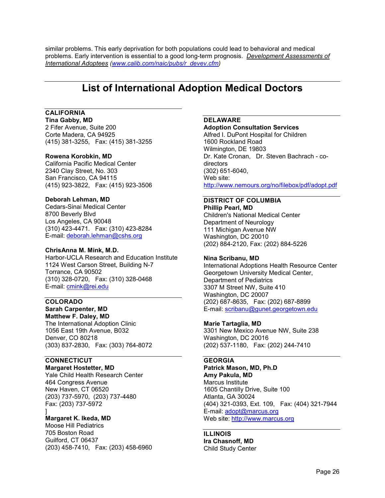similar problems. This early deprivation for both populations could lead to behavioral and medical problems. Early intervention is essential to a good long-term prognosis. *Development Assessments of International Adoptees (www.calib.com/naic/pubs/r\_devev.cfm)* 

### List of International Adoption Medical Doctors

#### CALIFORNIA

Tina Gabby, MD 2 Fifer Avenue, Suite 200 Corte Madera, CA 94925 (415) 381-3255, Fax: (415) 381-3255

#### Rowena Korobkin, MD

California Pacific Medical Center 2340 Clay Street, No. 303 San Francisco, CA 94115 (415) 923-3822, Fax: (415) 923-3506

#### Deborah Lehman, MD

Cedars-Sinai Medical Center 8700 Beverly Blvd Los Angeles, CA 90048 (310) 423-4471. Fax: (310) 423-8284 E-mail: deborah.lehman@cshs.org

#### ChrisAnna M. Mink, M.D.

Harbor-UCLA Research and Education Institute 1124 West Carson Street, Building N-7 Torrance, CA 90502 (310) 328-0720, Fax: (310) 328-0468 E-mail: cmink@rei.edu

#### COLORADO Sarah Carpenter, MD Matthew F. Daley, MD

The International Adoption Clinic 1056 East 19th Avenue, B032 Denver, CO 80218 (303) 837-2830, Fax: (303) 764-8072

#### **CONNECTICUT**

Margaret Hostetter, MD Yale Child Health Research Center 464 Congress Avenue New Haven, CT 06520 (203) 737-5970, (203) 737-4480 Fax: (203) 737-5972

#### ] Margaret K. Ikeda, MD

Moose Hill Pediatrics 705 Boston Road Guilford, CT 06437 (203) 458-7410, Fax: (203) 458-6960

#### DELAWARE

Adoption Consultation Services Alfred I. DuPont Hospital for Children 1600 Rockland Road Wilmington, DE 19803 Dr. Kate Cronan, Dr. Steven Bachrach - codirectors (302) 651-6040, Web site: http://www.nemours.org/no/filebox/pdf/adopt.pdf

#### DISTRICT OF COLUMBIA Phillip Pearl, MD

Children's National Medical Center Department of Neurology 111 Michigan Avenue NW Washington, DC 20010 (202) 884-2120, Fax: (202) 884-5226

#### Nina Scribanu, MD

International Adoptions Health Resource Center Georgetown University Medical Center, Department of Pediatrics 3307 M Street NW, Suite 410 Washington, DC 20007 (202) 687-8635, Fax: (202) 687-8899 E-mail: scribanu@gunet.georgetown.edu

#### Marie Tartaglia, MD

3301 New Mexico Avenue NW, Suite 238 Washington, DC 20016 (202) 537-1180, Fax: (202) 244-7410

#### **GEORGIA**

Patrick Mason, MD, Ph.D Amy Pakula, MD Marcus Institute 1605 Chantilly Drive, Suite 100 Atlanta, GA 30024 (404) 321-0393, Ext. 109, Fax: (404) 321-7944 E-mail: adopt@marcus.org Web site: http://www.marcus.org

#### ILLINOIS

Ira Chasnoff, MD Child Study Center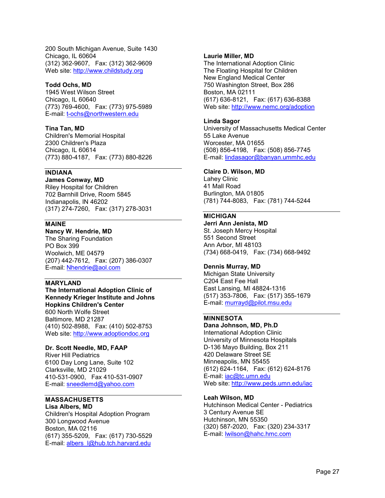200 South Michigan Avenue, Suite 1430 Chicago, IL 60604 (312) 362-9607, Fax: (312) 362-9609 Web site: http://www.childstudy.org

#### Todd Ochs, MD

1945 West Wilson Street Chicago, IL 60640 (773) 769-4600, Fax: (773) 975-5989 E-mail: t-ochs@northwestern.edu

#### Tina Tan, MD

Children's Memorial Hospital 2300 Children's Plaza Chicago, IL 60614 (773) 880-4187, Fax: (773) 880-8226

#### INDIANA

James Conway, MD Riley Hospital for Children 702 Barnhill Drive, Room 5845 Indianapolis, IN 46202 (317) 274-7260, Fax: (317) 278-3031

#### MAINE

Nancy W. Hendrie, MD The Sharing Foundation PO Box 399 Woolwich, ME 04579 (207) 442-7612, Fax: (207) 386-0307 E-mail: Nhendrie@aol.com

#### MARYLAND

The International Adoption Clinic of Kennedy Krieger Institute and Johns Hopkins Children's Center 600 North Wolfe Street Baltimore, MD 21287 (410) 502-8988, Fax: (410) 502-8753 Web site: http://www.adoptiondoc.org

#### Dr. Scott Needle, MD, FAAP

River Hill Pediatrics 6100 Day Long Lane, Suite 102 Clarksville, MD 21029 410-531-0900, Fax 410-531-0907 E-mail: sneedlemd@yahoo.com

#### **MASSACHUSETTS**

Lisa Albers, MD Children's Hospital Adoption Program 300 Longwood Avenue Boston, MA 02116 (617) 355-5209, Fax: (617) 730-5529 E-mail: albers\_l@hub.tch.harvard.edu

#### Laurie Miller, MD

The International Adoption Clinic The Floating Hospital for Children New England Medical Center 750 Washington Street, Box 286 Boston, MA 02111 (617) 636-8121, Fax: (617) 636-8388 Web site: http://www.nemc.org/adoption

#### Linda Sagor

University of Massachusetts Medical Center 55 Lake Avenue Worcester, MA 01655 (508) 856-4198, Fax: (508) 856-7745 E-mail: lindasagor@banyan.ummhc.edu

#### Claire D. Wilson, MD

Lahey Clinic 41 Mall Road Burlington, MA 01805 (781) 744-8083, Fax: (781) 744-5244

#### MICHIGAN

Jerri Ann Jenista, MD St. Joseph Mercy Hospital 551 Second Street Ann Arbor, MI 48103 (734) 668-0419, Fax: (734) 668-9492

#### Dennis Murray, MD

Michigan State University C204 East Fee Hall East Lansing, MI 48824-1316 (517) 353-7806, Fax: (517) 355-1679 E-mail: murrayd@pilot.msu.edu

#### MINNESOTA

Dana Johnson, MD, Ph.D International Adoption Clinic University of Minnesota Hospitals D-136 Mayo Building, Box 211 420 Delaware Street SE Minneapolis, MN 55455 (612) 624-1164, Fax: (612) 624-8176 E-mail: *iac@tc.umn.edu* Web site: http://www.peds.umn.edu/iac

#### Leah Wilson, MD

Hutchinson Medical Center - Pediatrics 3 Century Avenue SE Hutchinson, MN 55350 (320) 587-2020, Fax: (320) 234-3317 E-mail: lwilson@hahc.hmc.com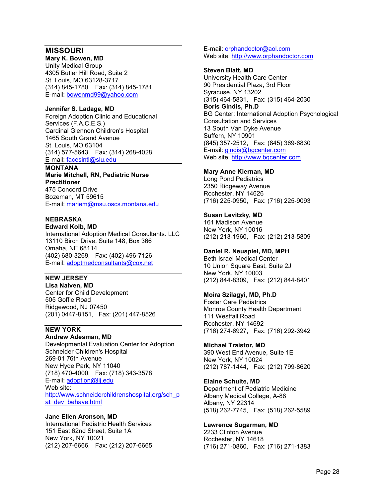#### MISSOURI

Mary K. Bowen, MD Unity Medical Group 4305 Butler Hill Road, Suite 2 St. Louis, MO 63128-3717 (314) 845-1780, Fax: (314) 845-1781 E-mail: bowenmd99@yahoo.com

#### Jennifer S. Ladage, MD

Foreign Adoption Clinic and Educational Services (F.A.C.E.S.) Cardinal Glennon Children's Hospital 1465 South Grand Avenue St. Louis, MO 63104 (314) 577-5643, Fax: (314) 268-4028 E-mail: facesintl@slu.edu

### MONTANA

Marie Mitchell, RN, Pediatric Nurse **Practitioner** 475 Concord Drive Bozeman, MT 59615 E-mail: mariem@msu.oscs.montana.edu

#### NEBRASKA Edward Kolb, MD

International Adoption Medical Consultants. LLC 13110 Birch Drive, Suite 148, Box 366 Omaha, NE 68114 (402) 680-3269, Fax: (402) 496-7126 E-mail: adoptmedconsultants@cox.net

#### NEW JERSEY

Lisa Nalven, MD Center for Child Development 505 Goffle Road Ridgewood, NJ 07450 (201) 0447-8151, Fax: (201) 447-8526

#### NEW YORK

#### Andrew Adesman, MD

Developmental Evaluation Center for Adoption Schneider Children's Hospital 269-01 76th Avenue New Hyde Park, NY 11040 (718) 470-4000, Fax: (718) 343-3578 E-mail: adoption@lij.edu Web site: http://www.schneiderchildrenshospital.org/sch\_p at dev behave.html

#### Jane Ellen Aronson, MD

International Pediatric Health Services 151 East 62nd Street, Suite 1A New York, NY 10021 (212) 207-6666, Fax: (212) 207-6665 E-mail: orphandoctor@aol.com Web site: http://www.orphandoctor.com

#### Steven Blatt, MD

University Health Care Center 90 Presidential Plaza, 3rd Floor Syracuse, NY 13202 (315) 464-5831, Fax: (315) 464-2030 Boris Gindis, Ph.D BG Center: International Adoption Psychological Consultation and Services 13 South Van Dyke Avenue Suffern, NY 10901 (845) 357-2512, Fax: (845) 369-6830 E-mail: gindis@bgcenter.com Web site: http://www.bgcenter.com

#### Mary Anne Kiernan, MD

Long Pond Pediatrics 2350 Ridgeway Avenue Rochester, NY 14626 (716) 225-0950, Fax: (716) 225-9093

#### Susan Levitzky, MD

161 Madison Avenue New York, NY 10016 (212) 213-1960, Fax: (212) 213-5809

#### Daniel R. Neuspiel, MD, MPH

Beth Israel Medical Center 10 Union Square East, Suite 2J New York, NY 10003 (212) 844-8309, Fax: (212) 844-8401

#### Moira Szilagyi, MD, Ph.D

Foster Care Pediatrics Monroe County Health Department 111 Westfall Road Rochester, NY 14692 (716) 274-6927, Fax: (716) 292-3942

#### Michael Traistor, MD

390 West End Avenue, Suite 1E New York, NY 10024 (212) 787-1444, Fax: (212) 799-8620

#### Elaine Schulte, MD

Department of Pediatric Medicine Albany Medical College, A-88 Albany, NY 22314 (518) 262-7745, Fax: (518) 262-5589

#### Lawrence Sugarman, MD

2233 Clinton Avenue Rochester, NY 14618 (716) 271-0860, Fax: (716) 271-1383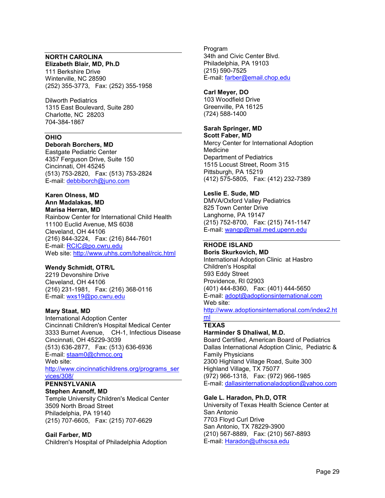#### NORTH CAROLINA Elizabeth Blair, MD, Ph.D

111 Berkshire Drive Winterville, NC 28590 (252) 355-3773, Fax: (252) 355-1958

Dilworth Pediatrics 1315 East Boulevard, Suite 280 Charlotte, NC 28203 704-384-1867

#### OHIO

Deborah Borchers, MD Eastgate Pediatric Center

4357 Ferguson Drive, Suite 150 Cincinnati, OH 45245 (513) 753-2820, Fax: (513) 753-2824 E-mail: debbiborch@juno.com

#### Karen Olness, MD Ann Madalakas, MD Marisa Herran, MD

Rainbow Center for International Child Health 11100 Euclid Avenue, MS 6038 Cleveland, OH 44106 (216) 844-3224, Fax: (216) 844-7601 E-mail: RCIC@po.cwru.edu Web site: http://www.uhhs.com/toheal/rcic.html

#### Wendy Schmidt, OTR/L

2219 Devonshire Drive Cleveland, OH 44106 (216) 231-1981, Fax: (216) 368-0116 E-mail: wxs19@po.cwru.edu

#### Mary Staat, MD

International Adoption Center Cincinnati Children's Hospital Medical Center 3333 Burnet Avenue, CH-1, Infectious Disease Cincinnati, OH 45229-3039 (513) 636-2877, Fax: (513) 636-6936 E-mail: staam0@chmcc.org Web site: http://www.cincinnatichildrens.org/programs\_ser vices/308/

### PENNSYLVANIA

Stephen Aranoff, MD Temple University Children's Medical Center 3509 North Broad Street Philadelphia, PA 19140 (215) 707-6605, Fax: (215) 707-6629

#### Gail Farber, MD

Children's Hospital of Philadelphia Adoption

Program 34th and Civic Center Blvd. Philadelphia, PA 19103 (215) 590-7525 E-mail: farber@email.chop.edu

#### Carl Meyer, DO

103 Woodfield Drive Greenville, PA 16125 (724) 588-1400

#### Sarah Springer, MD

Scott Faber, MD Mercy Center for International Adoption Medicine Department of Pediatrics 1515 Locust Street, Room 315 Pittsburgh, PA 15219 (412) 575-5805, Fax: (412) 232-7389

#### Leslie E. Sude, MD

DMVA/Oxford Valley Pediatrics 825 Town Center Drive Langhorne, PA 19147 (215) 752-8700, Fax: (215) 741-1147 E-mail: wangp@mail.med.upenn.edu

#### RHODE ISLAND

Boris Skurkovich, MD International Adoption Clinic at Hasbro Children's Hospital 593 Eddy Street Providence, RI 02903 (401) 444-8360, Fax: (401) 444-5650 E-mail: adopt@adoptionsinternational.com Web site:

http://www.adoptionsinternational.com/index2.ht ml

### **TEXAS**

#### Harminder S Dhaliwal, M.D.

Board Certified, American Board of Pediatrics Dallas International Adoption Clinic, Pediatric & Family Physicians 2300 Highland Village Road, Suite 300 Highland Village, TX 75077 (972) 966-1318, Fax: (972) 966-1985 E-mail: dallasinternationaladoption@yahoo.com

#### Gale L. Haradon, Ph.D, OTR

University of Texas Health Science Center at San Antonio 7703 Floyd Curl Drive San Antonio, TX 78229-3900 (210) 567-8889, Fax: (210) 567-8893 E-mail: Haradon@uthscsa.edu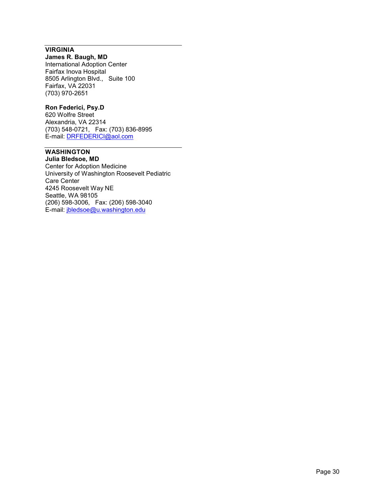#### **VIRGINIA**

#### James R. Baugh, MD

International Adoption Center Fairfax Inova Hospital 8505 Arlington Blvd., Suite 100 Fairfax, VA 22031 (703) 970-2651

#### Ron Federici, Psy.D

620 Wolfre Street Alexandria, VA 22314 (703) 548-0721, Fax: (703) 836-8995 E-mail: <u>DRFEDERICI@aol.com</u>

#### WASHINGTON Julia Bledsoe, MD

Center for Adoption Medicine University of Washington Roosevelt Pediatric Care Center 4245 Roosevelt Way NE Seattle, WA 98105 (206) 598-3006, Fax: (206) 598-3040 E-mail: jbledsoe@u.washington.edu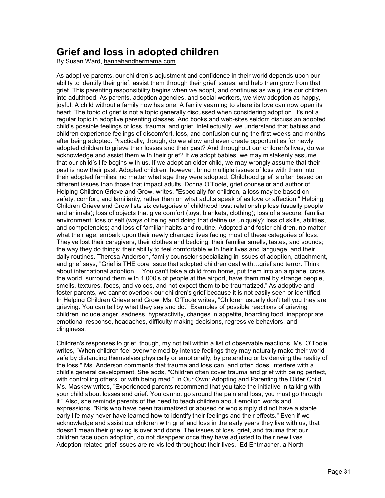### Grief and loss in adopted children

By Susan Ward, hannahandhermama.com

As adoptive parents, our children's adjustment and confidence in their world depends upon our ability to identify their grief, assist them through their grief issues, and help them grow from that grief. This parenting responsibility begins when we adopt, and continues as we guide our children into adulthood. As parents, adoption agencies, and social workers, we view adoption as happy, joyful. A child without a family now has one. A family yearning to share its love can now open its heart. The topic of grief is not a topic generally discussed when considering adoption. It's not a regular topic in adoptive parenting classes. And books and web-sites seldom discuss an adopted child's possible feelings of loss, trauma, and grief. Intellectually, we understand that babies and children experience feelings of discomfort, loss, and confusion during the first weeks and months after being adopted. Practically, though, do we allow and even create opportunities for newly adopted children to grieve their losses and their past? And throughout our children's lives, do we acknowledge and assist them with their grief? If we adopt babies, we may mistakenly assume that our child's life begins with us. If we adopt an older child, we may wrongly assume that their past is now their past. Adopted children, however, bring multiple issues of loss with them into their adopted families, no matter what age they were adopted. Childhood grief is often based on different issues than those that impact adults. Donna O'Toole, grief counselor and author of Helping Children Grieve and Grow, writes, "Especially for children, a loss may be based on safety, comfort, and familiarity, rather than on what adults speak of as love or affection." Helping Children Grieve and Grow lists six categories of childhood loss: relationship loss (usually people and animals); loss of objects that give comfort (toys, blankets, clothing); loss of a secure, familiar environment; loss of self (ways of being and doing that define us uniquely); loss of skills, abilities, and competencies; and loss of familiar habits and routine. Adopted and foster children, no matter what their age, embark upon their newly changed lives facing most of these categories of loss. They've lost their caregivers, their clothes and bedding, their familiar smells, tastes, and sounds; the way they do things; their ability to feel comfortable with their lives and language, and their daily routines. Theresa Anderson, family counselor specializing in issues of adoption, attachment, and grief says, "Grief is THE core issue that adopted children deal with...grief and terror. Think about international adoption... You can't take a child from home, put them into an airplane, cross the world, surround them with 1,000's of people at the airport, have them met by strange people, smells, textures, foods, and voices, and not expect them to be traumatized." As adoptive and foster parents, we cannot overlook our children's grief because it is not easily seen or identified. In Helping Children Grieve and Grow Ms. O'Toole writes, "Children usually don't tell you they are grieving. You can tell by what they say and do." Examples of possible reactions of grieving children include anger, sadness, hyperactivity, changes in appetite, hoarding food, inappropriate emotional response, headaches, difficulty making decisions, regressive behaviors, and clinginess.

Children's responses to grief, though, my not fall within a list of observable reactions. Ms. O'Toole writes, "When children feel overwhelmed by intense feelings they may naturally make their world safe by distancing themselves physically or emotionally, by pretending or by denying the reality of the loss." Ms. Anderson comments that trauma and loss can, and often does, interfere with a child's general development. She adds, "Children often cover trauma and grief with being perfect, with controlling others, or with being mad." In Our Own: Adopting and Parenting the Older Child, Ms. Maskew writes, "Experienced parents recommend that you take the initiative in talking with your child about losses and grief. You cannot go around the pain and loss, you must go through it." Also, she reminds parents of the need to teach children about emotion words and expressions. "Kids who have been traumatized or abused or who simply did not have a stable early life may never have learned how to identify their feelings and their effects." Even if we acknowledge and assist our children with grief and loss in the early years they live with us, that doesn't mean their grieving is over and done. The issues of loss, grief, and trauma that our children face upon adoption, do not disappear once they have adjusted to their new lives. Adoption-related grief issues are re-visited throughout their lives. Ed Entmacher, a North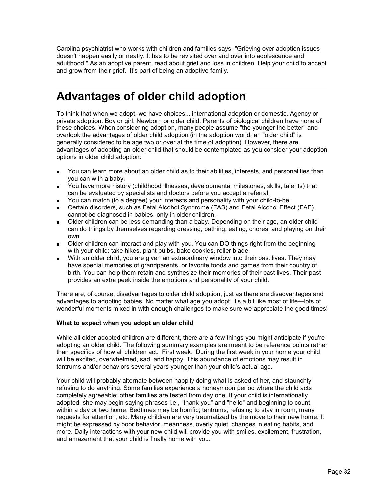Carolina psychiatrist who works with children and families says, "Grieving over adoption issues doesn't happen easily or neatly. It has to be revisited over and over into adolescence and adulthood." As an adoptive parent, read about grief and loss in children. Help your child to accept and grow from their grief. It's part of being an adoptive family.

## Advantages of older child adoption

To think that when we adopt, we have choices... international adoption or domestic. Agency or private adoption. Boy or girl. Newborn or older child. Parents of biological children have none of these choices. When considering adoption, many people assume "the younger the better" and overlook the advantages of older child adoption (in the adoption world, an "older child" is generally considered to be age two or over at the time of adoption). However, there are advantages of adopting an older child that should be contemplated as you consider your adoption options in older child adoption:

- You can learn more about an older child as to their abilities, interests, and personalities than you can with a baby.
- You have more history (childhood illnesses, developmental milestones, skills, talents) that can be evaluated by specialists and doctors before you accept a referral.
- You can match (to a degree) your interests and personality with your child-to-be.
- Certain disorders, such as Fetal Alcohol Syndrome (FAS) and Fetal Alcohol Effect (FAE) cannot be diagnosed in babies, only in older children.
- Older children can be less demanding than a baby. Depending on their age, an older child can do things by themselves regarding dressing, bathing, eating, chores, and playing on their own.
- Older children can interact and play with you. You can DO things right from the beginning with your child: take hikes, plant bulbs, bake cookies, roller blade.
- With an older child, you are given an extraordinary window into their past lives. They may have special memories of grandparents, or favorite foods and games from their country of birth. You can help them retain and synthesize their memories of their past lives. Their past provides an extra peek inside the emotions and personality of your child.

There are, of course, disadvantages to older child adoption, just as there are disadvantages and advantages to adopting babies. No matter what age you adopt, it's a bit like most of life---lots of wonderful moments mixed in with enough challenges to make sure we appreciate the good times!

#### What to expect when you adopt an older child

While all older adopted children are different, there are a few things you might anticipate if you're adopting an older child. The following summary examples are meant to be reference points rather than specifics of how all children act. First week: During the first week in your home your child will be excited, overwhelmed, sad, and happy. This abundance of emotions may result in tantrums and/or behaviors several years younger than your child's actual age.

Your child will probably alternate between happily doing what is asked of her, and staunchly refusing to do anything. Some families experience a honeymoon period where the child acts completely agreeable; other families are tested from day one. If your child is internationally adopted, she may begin saying phrases i.e., "thank you" and "hello" and beginning to count, within a day or two home. Bedtimes may be horrific; tantrums, refusing to stay in room, many requests for attention, etc. Many children are very traumatized by the move to their new home. It might be expressed by poor behavior, meanness, overly quiet, changes in eating habits, and more. Daily interactions with your new child will provide you with smiles, excitement, frustration, and amazement that your child is finally home with you.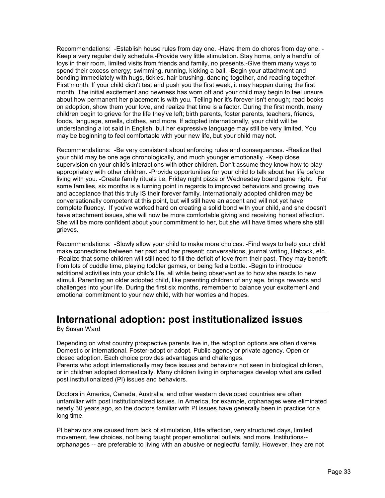Recommendations: -Establish house rules from day one. -Have them do chores from day one. - Keep a very regular daily schedule.-Provide very little stimulation. Stay home, only a handful of toys in their room, limited visits from friends and family, no presents.-Give them many ways to spend their excess energy; swimming, running, kicking a ball. -Begin your attachment and bonding immediately with hugs, tickles, hair brushing, dancing together, and reading together. First month: If your child didn't test and push you the first week, it may happen during the first month. The initial excitement and newness has worn off and your child may begin to feel unsure about how permanent her placement is with you. Telling her it's forever isn't enough; read books on adoption, show them your love, and realize that time is a factor. During the first month, many children begin to grieve for the life they've left; birth parents, foster parents, teachers, friends, foods, language, smells, clothes, and more. If adopted internationally, your child will be understanding a lot said in English, but her expressive language may still be very limited. You may be beginning to feel comfortable with your new life, but your child may not.

Recommendations: -Be very consistent about enforcing rules and consequences. -Realize that your child may be one age chronologically, and much younger emotionally. -Keep close supervision on your child's interactions with other children. Don't assume they know how to play appropriately with other children. -Provide opportunities for your child to talk about her life before living with you. -Create family rituals i.e. Friday night pizza or Wednesday board game night. For some families, six months is a turning point in regards to improved behaviors and growing love and acceptance that this truly IS their forever family. Internationally adopted children may be conversationally competent at this point, but will still have an accent and will not yet have complete fluency. If you've worked hard on creating a solid bond with your child, and she doesn't have attachment issues, she will now be more comfortable giving and receiving honest affection. She will be more confident about your commitment to her, but she will have times where she still grieves.

Recommendations: -Slowly allow your child to make more choices. -Find ways to help your child make connections between her past and her present; conversations, journal writing, lifebook, etc. -Realize that some children will still need to fill the deficit of love from their past. They may benefit from lots of cuddle time, playing toddler games, or being fed a bottle. -Begin to introduce additional activities into your child's life, all while being observant as to how she reacts to new stimuli. Parenting an older adopted child, like parenting children of any age, brings rewards and challenges into your life. During the first six months, remember to balance your excitement and emotional commitment to your new child, with her worries and hopes.

### International adoption: post institutionalized issues

By Susan Ward

Depending on what country prospective parents live in, the adoption options are often diverse. Domestic or international. Foster-adopt or adopt. Public agency or private agency. Open or closed adoption. Each choice provides advantages and challenges.

Parents who adopt internationally may face issues and behaviors not seen in biological children, or in children adopted domestically. Many children living in orphanages develop what are called post institutionalized (PI) issues and behaviors.

Doctors in America, Canada, Australia, and other western developed countries are often unfamiliar with post institutionalized issues. In America, for example, orphanages were eliminated nearly 30 years ago, so the doctors familiar with PI issues have generally been in practice for a long time.

PI behaviors are caused from lack of stimulation, little affection, very structured days, limited movement, few choices, not being taught proper emotional outlets, and more. Institutions- orphanages -- are preferable to living with an abusive or neglectful family. However, they are not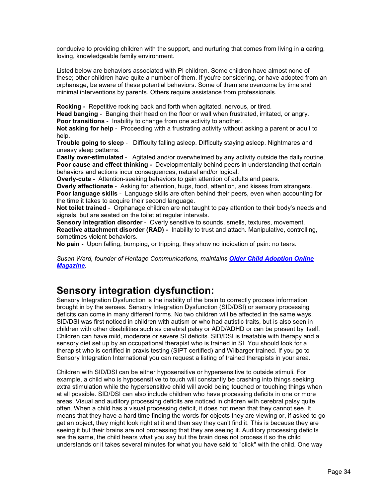conducive to providing children with the support, and nurturing that comes from living in a caring, loving, knowledgeable family environment.

Listed below are behaviors associated with PI children. Some children have almost none of these; other children have quite a number of them. If you're considering, or have adopted from an orphanage, be aware of these potential behaviors. Some of them are overcome by time and minimal interventions by parents. Others require assistance from professionals.

Rocking - Repetitive rocking back and forth when agitated, nervous, or tired.

Head banging - Banging their head on the floor or wall when frustrated, irritated, or angry.

Poor transitions - Inability to change from one activity to another.

Not asking for help - Proceeding with a frustrating activity without asking a parent or adult to help.

Trouble going to sleep - Difficulty falling asleep. Difficulty staying asleep. Nightmares and uneasy sleep patterns.

Easily over-stimulated - Agitated and/or overwhelmed by any activity outside the daily routine. Poor cause and effect thinking - Developmentally behind peers in understanding that certain behaviors and actions incur consequences, natural and/or logical.

Overly-cute - Attention-seeking behaviors to gain attention of adults and peers.

Overly affectionate - Asking for attention, hugs, food, attention, and kisses from strangers. Poor language skills - Language skills are often behind their peers, even when accounting for the time it takes to acquire their second language.

Not toilet trained - Orphanage children are not taught to pay attention to their body's needs and signals, but are seated on the toilet at regular intervals.

Sensory integration disorder - Overly sensitive to sounds, smells, textures, movement. Reactive attachment disorder (RAD) - Inability to trust and attach. Manipulative, controlling, sometimes violent behaviors.

No pain - Upon falling, bumping, or tripping, they show no indication of pain: no tears.

*Susan Ward, founder of Heritage Communications, maintains Older Child Adoption Online Magazine.* 

### Sensory integration dysfunction:

Sensory Integration Dysfunction is the inability of the brain to correctly process information brought in by the senses. Sensory Integration Dysfunction (SID/DSI) or sensory processing deficits can come in many different forms. No two children will be affected in the same ways. SID/DSI was first noticed in children with autism or who had autistic traits, but is also seen in children with other disabilities such as cerebral palsy or ADD/ADHD or can be present by itself. Children can have mild, moderate or severe SI deficits. SID/DSI is treatable with therapy and a sensory diet set up by an occupational therapist who is trained in SI. You should look for a therapist who is certified in praxis testing (SIPT certified) and Wilbarger trained. If you go to Sensory Integration International you can request a listing of trained therapists in your area.

Children with SID/DSI can be either hyposensitive or hypersensitive to outside stimuli. For example, a child who is hyposensitive to touch will constantly be crashing into things seeking extra stimulation while the hypersensitive child will avoid being touched or touching things when at all possible. SID/DSI can also include children who have processing deficits in one or more areas. Visual and auditory processing deficits are noticed in children with cerebral palsy quite often. When a child has a visual processing deficit, it does not mean that they cannot see. It means that they have a hard time finding the words for objects they are viewing or, if asked to go get an object, they might look right at it and then say they can't find it. This is because they are seeing it but their brains are not processing that they are seeing it. Auditory processing deficits are the same, the child hears what you say but the brain does not process it so the child understands or it takes several minutes for what you have said to "click" with the child. One way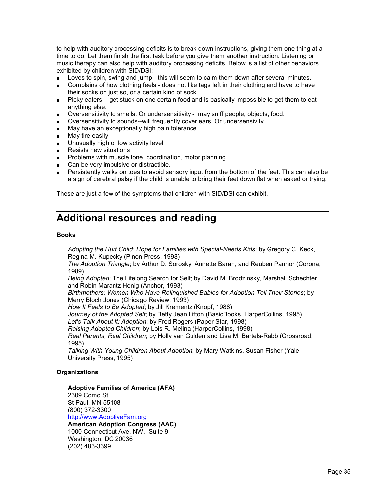to help with auditory processing deficits is to break down instructions, giving them one thing at a time to do. Let them finish the first task before you give them another instruction. Listening or music therapy can also help with auditory processing deficits. Below is a list of other behaviors exhibited by children with SID/DSI:

- Loves to spin, swing and jump this will seem to calm them down after several minutes.
- Complains of how clothing feels does not like tags left in their clothing and have to have their socks on just so, or a certain kind of sock.
- Picky eaters get stuck on one certain food and is basically impossible to get them to eat anything else.
- Oversensitivity to smells. Or undersensitivity may sniff people, objects, food.
- Oversensitivity to sounds--will frequently cover ears. Or undersensivity.
- May have an exceptionally high pain tolerance
- May tire easily
- Unusually high or low activity level
- Resists new situations
- Problems with muscle tone, coordination, motor planning
- Can be very impulsive or distractible.
- Persistently walks on toes to avoid sensory input from the bottom of the feet. This can also be a sign of cerebral palsy if the child is unable to bring their feet down flat when asked or trying.

These are just a few of the symptoms that children with SID/DSI can exhibit.

### Additional resources and reading

#### Books

*Adopting the Hurt Child: Hope for Families with Special-Needs Kids*; by Gregory C. Keck, Regina M. Kupecky (Pinon Press, 1998)

*The Adoption Triangle*; by Arthur D. Sorosky, Annette Baran, and Reuben Pannor (Corona, 1989)

*Being Adopted*; The Lifelong Search for Self; by David M. Brodzinsky, Marshall Schechter, and Robin Marantz Henig (Anchor, 1993)

*Birthmothers: Women Who Have Relinquished Babies for Adoption Tell Their Stories*; by Merry Bloch Jones (Chicago Review, 1993)

*How It Feels to Be Adopted*; by Jill Krementz (Knopf, 1988)

*Journey of the Adopted Self*; by Betty Jean Lifton (BasicBooks, HarperCollins, 1995)

*Let's Talk About It: Adoption*; by Fred Rogers (Paper Star, 1998)

*Raising Adopted Children*; by Lois R. Melina (HarperCollins, 1998)

*Real Parents, Real Children*; by Holly van Gulden and Lisa M. Bartels-Rabb (Crossroad, 1995)

*Talking With Young Children About Adoption*; by Mary Watkins, Susan Fisher (Yale University Press, 1995)

#### **Organizations**

#### Adoptive Families of America (AFA)

2309 Como St St Paul, MN 55108 (800) 372-3300 http://www.AdoptiveFam.org American Adoption Congress (AAC) 1000 Connecticut Ave, NW, Suite 9 Washington, DC 20036 (202) 483-3399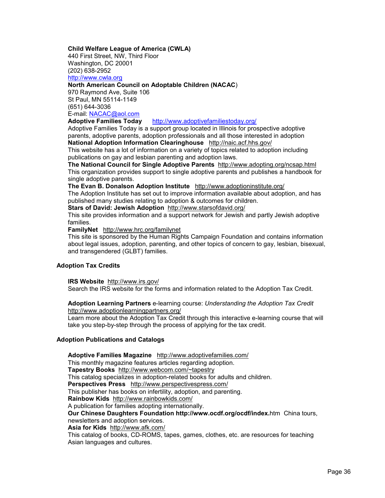#### Child Welfare League of America (CWLA)

440 First Street, NW, Third Floor Washington, DC 20001 (202) 638-2952 http://www.cwla.org

#### North American Council on Adoptable Children (NACAC)

970 Raymond Ave, Suite 106 St Paul, MN 55114-1149 (651) 644-3036 E-mail: <u>NACAC@aol.com</u><br>Adoptive Families Today

http://www.adoptivefamiliestoday.org/

Adoptive Families Today is a support group located in Illinois for prospective adoptive parents, adoptive parents, adoption professionals and all those interested in adoption National Adoption Information Clearinghouse http://naic.acf.hhs.gov/

This website has a lot of information on a variety of topics related to adoption including publications on gay and lesbian parenting and adoption laws.

The National Council for Single Adoptive Parents http://www.adopting.org/ncsap.html This organization provides support to single adoptive parents and publishes a handbook for single adoptive parents.

The Evan B. Donalson Adoption Institute http://www.adoptioninstitute.org/

The Adoption Institute has set out to improve information available about adoption, and has published many studies relating to adoption & outcomes for children.

Stars of David: Jewish Adoption http://www.starsofdavid.org/

This site provides information and a support network for Jewish and partly Jewish adoptive families.

FamilyNet http://www.hrc.org/familynet

This site is sponsored by the Human Rights Campaign Foundation and contains information about legal issues, adoption, parenting, and other topics of concern to gay, lesbian, bisexual, and transgendered (GLBT) families.

#### Adoption Tax Credits

IRS Website http://www.irs.gov/

Search the IRS website for the forms and information related to the Adoption Tax Credit.

#### Adoption Learning Partners e-learning course: *Understanding the Adoption Tax Credit* http://www.adoptionlearningpartners.org/

Learn more about the Adoption Tax Credit through this interactive e-learning course that will take you step-by-step through the process of applying for the tax credit.

#### Adoption Publications and Catalogs

Adoptive Families Magazine http://www.adoptivefamilies.com/ This monthly magazine features articles regarding adoption. Tapestry Books http://www.webcom.com/~tapestry This catalog specializes in adoption-related books for adults and children. Perspectives Press http://www.perspectivespress.com/ This publisher has books on infertility, adoption, and parenting. Rainbow Kids http://www.rainbowkids.com/ A publication for families adopting internationally. Our Chinese Daughters Foundation http://www.ocdf.org/ocdf/index.htm China tours, newsletters and adoption services. Asia for Kids http://www.afk.com/ This catalog of books, CD-ROMS, tapes, games, clothes, etc. are resources for teaching Asian languages and cultures.